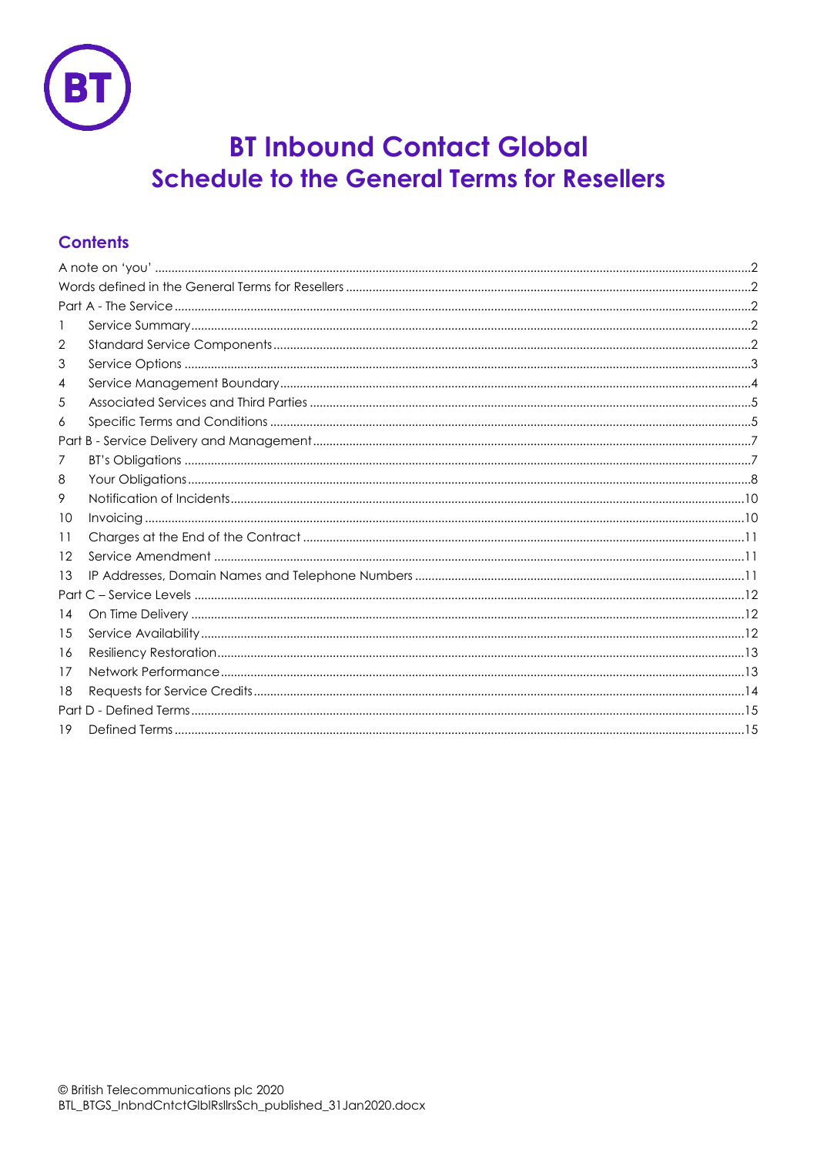

# **BT Inbound Contact Global Schedule to the General Terms for Resellers**

# **Contents**

| 1  |  |  |  |  |  |
|----|--|--|--|--|--|
| 2  |  |  |  |  |  |
| 3  |  |  |  |  |  |
| 4  |  |  |  |  |  |
| 5  |  |  |  |  |  |
| 6  |  |  |  |  |  |
|    |  |  |  |  |  |
| 7  |  |  |  |  |  |
| 8  |  |  |  |  |  |
| 9  |  |  |  |  |  |
| 10 |  |  |  |  |  |
| 11 |  |  |  |  |  |
| 12 |  |  |  |  |  |
| 13 |  |  |  |  |  |
|    |  |  |  |  |  |
| 14 |  |  |  |  |  |
| 15 |  |  |  |  |  |
| 16 |  |  |  |  |  |
| 17 |  |  |  |  |  |
| 18 |  |  |  |  |  |
|    |  |  |  |  |  |
| 19 |  |  |  |  |  |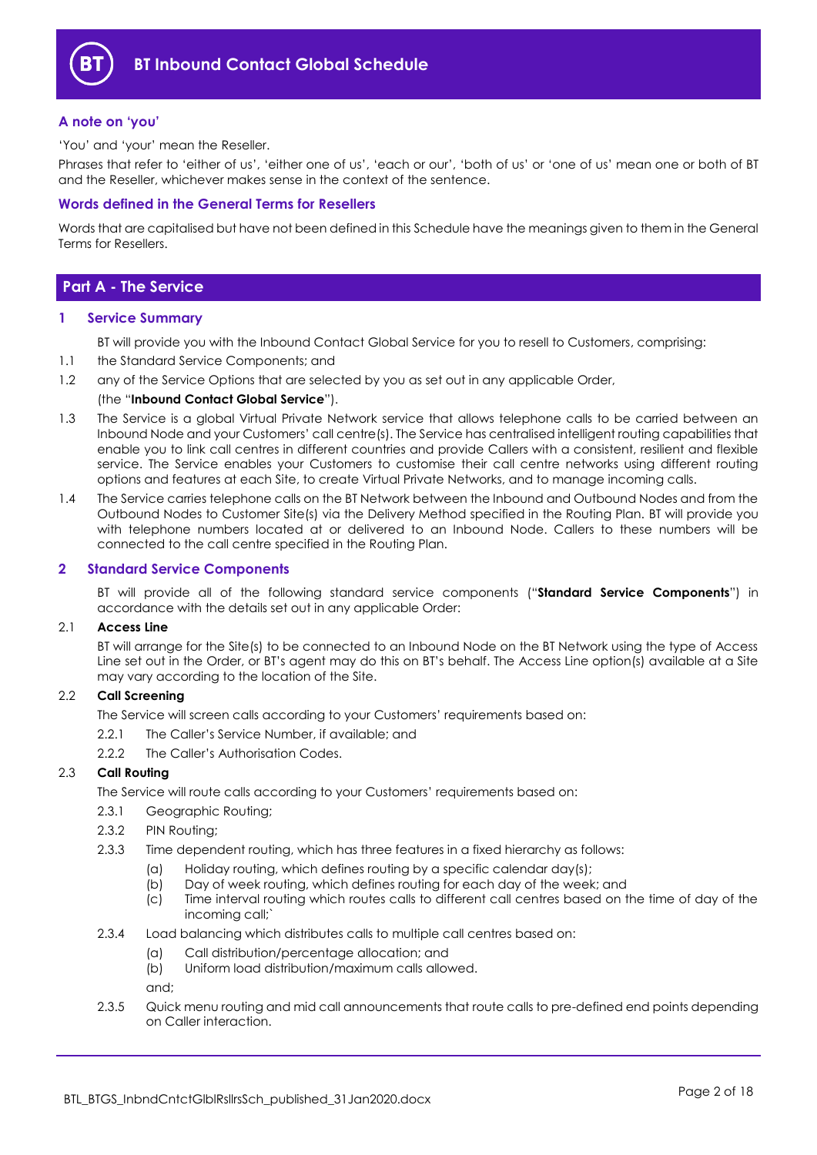

## <span id="page-1-0"></span>**A note on 'you'**

'You' and 'your' mean the Reseller.

Phrases that refer to 'either of us', 'either one of us', 'each or our', 'both of us' or 'one of us' mean one or both of BT and the Reseller, whichever makes sense in the context of the sentence.

## <span id="page-1-1"></span>**Words defined in the General Terms for Resellers**

Words that are capitalised but have not been defined in this Schedule have the meanings given to them in the General Terms for Resellers.

# <span id="page-1-2"></span>**Part A - The Service**

#### <span id="page-1-3"></span>**1 Service Summary**

BT will provide you with the Inbound Contact Global Service for you to resell to Customers, comprising:

- 1.1 the Standard Service Components; and
- 1.2 any of the Service Options that are selected by you as set out in any applicable Order,

#### (the "**Inbound Contact Global Service**").

- 1.3 The Service is a global Virtual Private Network service that allows telephone calls to be carried between an Inbound Node and your Customers' call centre(s). The Service has centralised intelligent routing capabilities that enable you to link call centres in different countries and provide Callers with a consistent, resilient and flexible service. The Service enables your Customers to customise their call centre networks using different routing options and features at each Site, to create Virtual Private Networks, and to manage incoming calls.
- 1.4 The Service carries telephone calls on the BT Network between the Inbound and Outbound Nodes and from the Outbound Nodes to Customer Site(s) via the Delivery Method specified in the Routing Plan. BT will provide you with telephone numbers located at or delivered to an Inbound Node. Callers to these numbers will be connected to the call centre specified in the Routing Plan.

#### <span id="page-1-4"></span>**2 Standard Service Components**

BT will provide all of the following standard service components ("**Standard Service Components**") in accordance with the details set out in any applicable Order:

#### 2.1 **Access Line**

BT will arrange for the Site(s) to be connected to an Inbound Node on the BT Network using the type of Access Line set out in the Order, or BT's agent may do this on BT's behalf. The Access Line option(s) available at a Site may vary according to the location of the Site.

#### 2.2 **Call Screening**

- The Service will screen calls according to your Customers' requirements based on:
- 2.2.1 The Caller's Service Number, if available; and
- 2.2.2 The Caller's Authorisation Codes.

## <span id="page-1-5"></span>2.3 **Call Routing**

The Service will route calls according to your Customers' requirements based on:

- 2.3.1 Geographic Routing;
- 2.3.2 PIN Routing;
- 2.3.3 Time dependent routing, which has three features in a fixed hierarchy as follows:
	- (a) Holiday routing, which defines routing by a specific calendar day(s);
	- (b) Day of week routing, which defines routing for each day of the week; and
	- (c) Time interval routing which routes calls to different call centres based on the time of day of the incoming call;`
- 2.3.4 Load balancing which distributes calls to multiple call centres based on:
	- (a) Call distribution/percentage allocation; and
	- (b) Uniform load distribution/maximum calls allowed.

and;

2.3.5 Quick menu routing and mid call announcements that route calls to pre-defined end points depending on Caller interaction.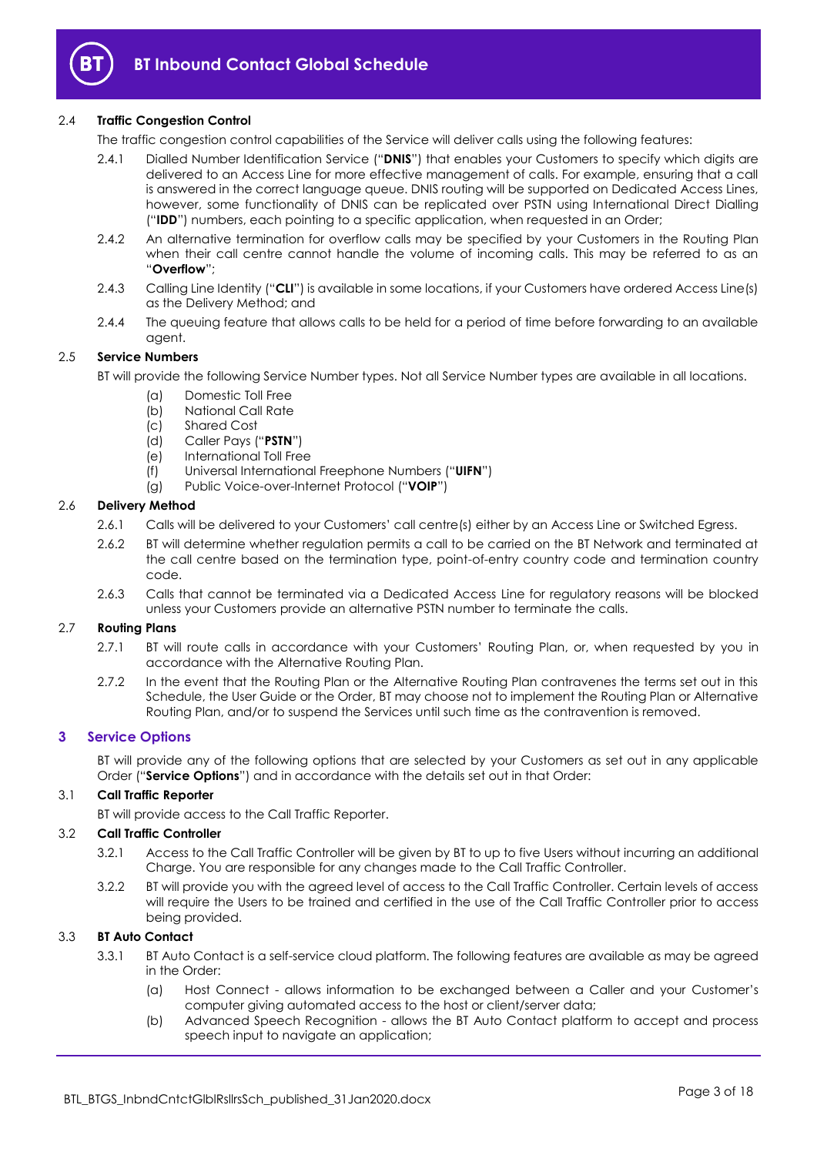

## 2.4 **Traffic Congestion Control**

- The traffic congestion control capabilities of the Service will deliver calls using the following features:
	- 2.4.1 Dialled Number Identification Service ("**DNIS**") that enables your Customers to specify which digits are delivered to an Access Line for more effective management of calls. For example, ensuring that a call is answered in the correct language queue. DNIS routing will be supported on Dedicated Access Lines, however, some functionality of DNIS can be replicated over PSTN using International Direct Dialling ("**IDD**") numbers, each pointing to a specific application, when requested in an Order;
	- 2.4.2 An alternative termination for overflow calls may be specified by your Customers in the Routing Plan when their call centre cannot handle the volume of incoming calls. This may be referred to as an "**Overflow**";
	- 2.4.3 Calling Line Identity ("**CLI**") is available in some locations, if your Customers have ordered Access Line(s) as the Delivery Method; and
	- 2.4.4 The queuing feature that allows calls to be held for a period of time before forwarding to an available agent.

### 2.5 **Service Numbers**

BT will provide the following Service Number types. Not all Service Number types are available in all locations.

- (a) Domestic Toll Free
- (b) National Call Rate
- (c) Shared Cost
- (d) Caller Pays ("**PSTN**")
- (e) International Toll Free
- (f) Universal International Freephone Numbers ("**UIFN**")
- (g) Public Voice-over-Internet Protocol ("**VOIP**")

## 2.6 **Delivery Method**

- 2.6.1 Calls will be delivered to your Customers' call centre(s) either by an Access Line or Switched Egress.
- 2.6.2 BT will determine whether regulation permits a call to be carried on the BT Network and terminated at the call centre based on the termination type, point-of-entry country code and termination country code.
- 2.6.3 Calls that cannot be terminated via a Dedicated Access Line for regulatory reasons will be blocked unless your Customers provide an alternative PSTN number to terminate the calls.

#### 2.7 **Routing Plans**

- 2.7.1 BT will route calls in accordance with your Customers' Routing Plan, or, when requested by you in accordance with the Alternative Routing Plan.
- 2.7.2 In the event that the Routing Plan or the Alternative Routing Plan contravenes the terms set out in this Schedule, the User Guide or the Order, BT may choose not to implement the Routing Plan or Alternative Routing Plan, and/or to suspend the Services until such time as the contravention is removed.

## <span id="page-2-0"></span>**3 Service Options**

BT will provide any of the following options that are selected by your Customers as set out in any applicable Order ("**Service Options**") and in accordance with the details set out in that Order:

#### 3.1 **Call Traffic Reporter**

BT will provide access to the Call Traffic Reporter.

## 3.2 **Call Traffic Controller**

- 3.2.1 Access to the Call Traffic Controller will be given by BT to up to five Users without incurring an additional Charge. You are responsible for any changes made to the Call Traffic Controller.
- <span id="page-2-1"></span>3.2.2 BT will provide you with the agreed level of access to the Call Traffic Controller. Certain levels of access will require the Users to be trained and certified in the use of the Call Traffic Controller prior to access being provided.

## <span id="page-2-2"></span>3.3 **BT Auto Contact**

- 3.3.1 BT Auto Contact is a self-service cloud platform. The following features are available as may be agreed in the Order:
	- (a) Host Connect allows information to be exchanged between a Caller and your Customer's computer giving automated access to the host or client/server data;
	- (b) Advanced Speech Recognition allows the BT Auto Contact platform to accept and process speech input to navigate an application;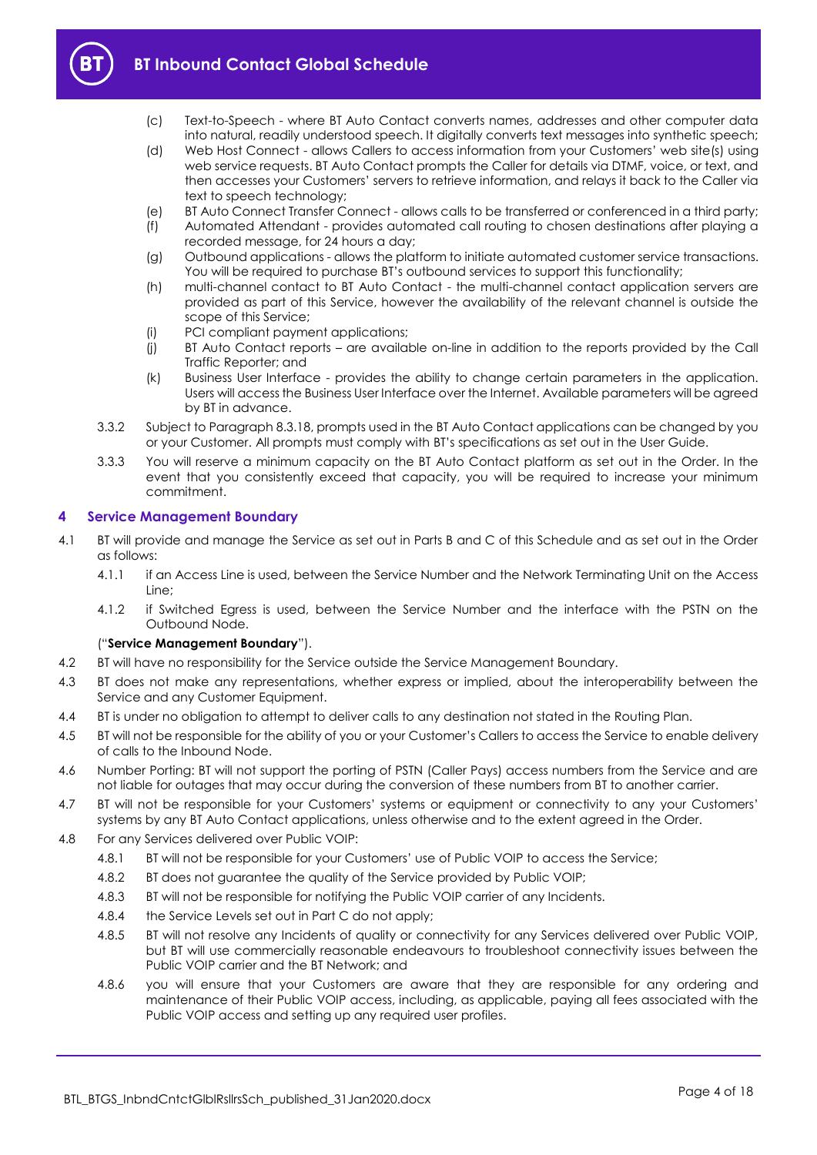

- (c) Text-to-Speech where BT Auto Contact converts names, addresses and other computer data into natural, readily understood speech. It digitally converts text messages into synthetic speech;
- (d) Web Host Connect allows Callers to access information from your Customers' web site(s) using web service requests. BT Auto Contact prompts the Caller for details via DTMF, voice, or text, and then accesses your Customers' servers to retrieve information, and relays it back to the Caller via text to speech technology;
- (e) BT Auto Connect Transfer Connect allows calls to be transferred or conferenced in a third party;
- (f) Automated Attendant provides automated call routing to chosen destinations after playing a recorded message, for 24 hours a day;
- (g) Outbound applications allows the platform to initiate automated customer service transactions. You will be required to purchase BT's outbound services to support this functionality;
- (h) multi-channel contact to BT Auto Contact the multi-channel contact application servers are provided as part of this Service, however the availability of the relevant channel is outside the scope of this Service;
- (i) PCI compliant payment applications;
- (j) BT Auto Contact reports are available on-line in addition to the reports provided by the Call Traffic Reporter; and
- (k) Business User Interface provides the ability to change certain parameters in the application. Users will access the Business User Interface over the Internet. Available parameters will be agreed by BT in advance.
- <span id="page-3-1"></span>3.3.2 Subject to Paragraph [8.3.18,](#page-8-0) prompts used in the BT Auto Contact applications can be changed by you or your Customer. All prompts must comply with BT's specifications as set out in the User Guide.
- 3.3.3 You will reserve a minimum capacity on the BT Auto Contact platform as set out in the Order. In the event that you consistently exceed that capacity, you will be required to increase your minimum commitment.

## <span id="page-3-0"></span>**4 Service Management Boundary**

- <span id="page-3-2"></span>4.1 BT will provide and manage the Service as set out in Parts B and C of this Schedule and as set out in the Order as follows:
	- 4.1.1 if an Access Line is used, between the Service Number and the Network Terminating Unit on the Access Line;
	- 4.1.2 if Switched Egress is used, between the Service Number and the interface with the PSTN on the Outbound Node.

### ("**Service Management Boundary**").

- 4.2 BT will have no responsibility for the Service outside the Service Management Boundary.
- 4.3 BT does not make any representations, whether express or implied, about the interoperability between the Service and any Customer Equipment.
- 4.4 BT is under no obligation to attempt to deliver calls to any destination not stated in the Routing Plan.
- 4.5 BT will not be responsible for the ability of you or your Customer's Callers to access the Service to enable delivery of calls to the Inbound Node.
- 4.6 Number Porting: BT will not support the porting of PSTN (Caller Pays) access numbers from the Service and are not liable for outages that may occur during the conversion of these numbers from BT to another carrier.
- 4.7 BT will not be responsible for your Customers' systems or equipment or connectivity to any your Customers' systems by any BT Auto Contact applications, unless otherwise and to the extent agreed in the Order.
- 4.8 For any Services delivered over Public VOIP:
	- 4.8.1 BT will not be responsible for your Customers' use of Public VOIP to access the Service;
	- 4.8.2 BT does not guarantee the quality of the Service provided by Public VOIP;
	- 4.8.3 BT will not be responsible for notifying the Public VOIP carrier of any Incidents.
	- 4.8.4 the Service Levels set out in Part C do not apply;
	- 4.8.5 BT will not resolve any Incidents of quality or connectivity for any Services delivered over Public VOIP, but BT will use commercially reasonable endeavours to troubleshoot connectivity issues between the Public VOIP carrier and the BT Network; and
	- 4.8.6 you will ensure that your Customers are aware that they are responsible for any ordering and maintenance of their Public VOIP access, including, as applicable, paying all fees associated with the Public VOIP access and setting up any required user profiles.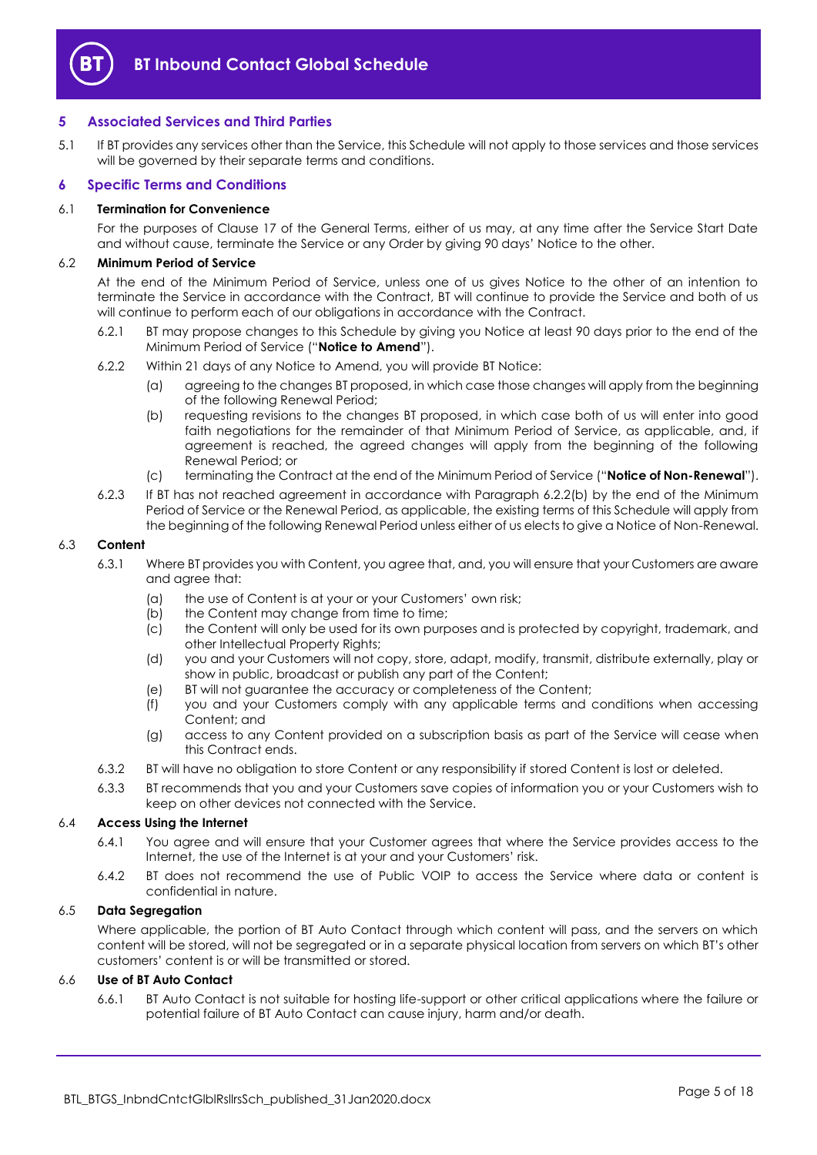

## <span id="page-4-0"></span>**5 Associated Services and Third Parties**

5.1 If BT provides any services other than the Service, this Schedule will not apply to those services and those services will be governed by their separate terms and conditions.

## <span id="page-4-1"></span>**6 Specific Terms and Conditions**

#### 6.1 **Termination for Convenience**

For the purposes of Clause 17 of the General Terms, either of us may, at any time after the Service Start Date and without cause, terminate the Service or any Order by giving 90 days' Notice to the other.

## 6.2 **Minimum Period of Service**

At the end of the Minimum Period of Service, unless one of us gives Notice to the other of an intention to terminate the Service in accordance with the Contract, BT will continue to provide the Service and both of us will continue to perform each of our obligations in accordance with the Contract.

- <span id="page-4-4"></span>6.2.1 BT may propose changes to this Schedule by giving you Notice at least 90 days prior to the end of the Minimum Period of Service ("**Notice to Amend**").
- <span id="page-4-3"></span><span id="page-4-2"></span>6.2.2 Within 21 days of any Notice to Amend, you will provide BT Notice:
	- (a) agreeing to the changes BT proposed, in which case those changes will apply from the beginning of the following Renewal Period;
	- (b) requesting revisions to the changes BT proposed, in which case both of us will enter into good faith negotiations for the remainder of that Minimum Period of Service, as applicable, and, if agreement is reached, the agreed changes will apply from the beginning of the following Renewal Period; or
	- (c) terminating the Contract at the end of the Minimum Period of Service ("**Notice of Non-Renewal**").
- 6.2.3 If BT has not reached agreement in accordance with Paragraph [6.2.2\(b\)](#page-4-2) by the end of the Minimum Period of Service or the Renewal Period, as applicable, the existing terms of this Schedule will apply from the beginning of the following Renewal Period unless either of us elects to give a Notice of Non-Renewal.

#### 6.3 **Content**

- 6.3.1 Where BT provides you with Content, you agree that, and, you will ensure that your Customers are aware and agree that:
	- (a) the use of Content is at your or your Customers' own risk;
	- (b) the Content may change from time to time;
	- (c) the Content will only be used for its own purposes and is protected by copyright, trademark, and other Intellectual Property Rights;
	- (d) you and your Customers will not copy, store, adapt, modify, transmit, distribute externally, play or show in public, broadcast or publish any part of the Content;
	- (e) BT will not guarantee the accuracy or completeness of the Content;
	- (f) you and your Customers comply with any applicable terms and conditions when accessing Content; and
	- (g) access to any Content provided on a subscription basis as part of the Service will cease when this Contract ends.
- 6.3.2 BT will have no obligation to store Content or any responsibility if stored Content is lost or deleted.
- 6.3.3 BT recommends that you and your Customers save copies of information you or your Customers wish to keep on other devices not connected with the Service.

#### 6.4 **Access Using the Internet**

- 6.4.1 You agree and will ensure that your Customer agrees that where the Service provides access to the Internet, the use of the Internet is at your and your Customers' risk.
- 6.4.2 BT does not recommend the use of Public VOIP to access the Service where data or content is confidential in nature.

#### 6.5 **Data Segregation**

Where applicable, the portion of BT Auto Contact through which content will pass, and the servers on which content will be stored, will not be segregated or in a separate physical location from servers on which BT's other customers' content is or will be transmitted or stored.

#### 6.6 **Use of BT Auto Contact**

6.6.1 BT Auto Contact is not suitable for hosting life-support or other critical applications where the failure or potential failure of BT Auto Contact can cause injury, harm and/or death.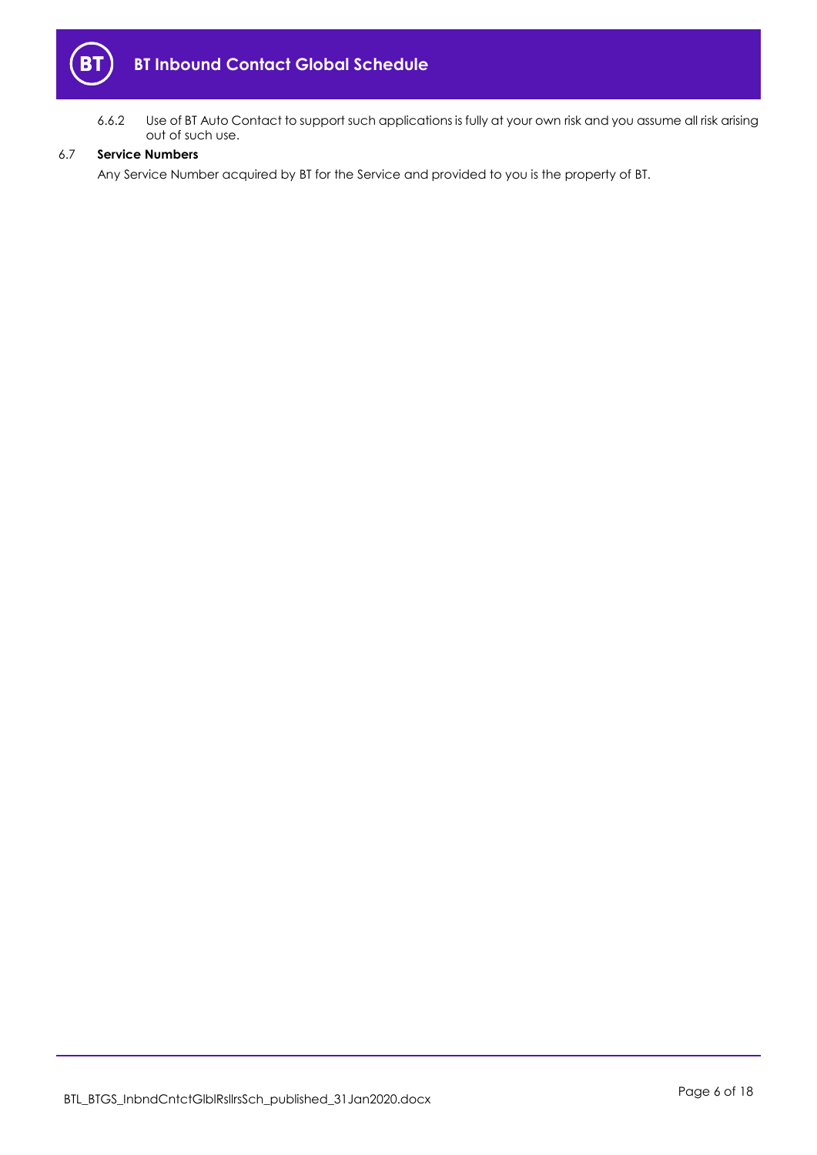

6.6.2 Use of BT Auto Contact to support such applications is fully at your own risk and you assume all risk arising out of such use.

## 6.7 **Service Numbers**

Any Service Number acquired by BT for the Service and provided to you is the property of BT.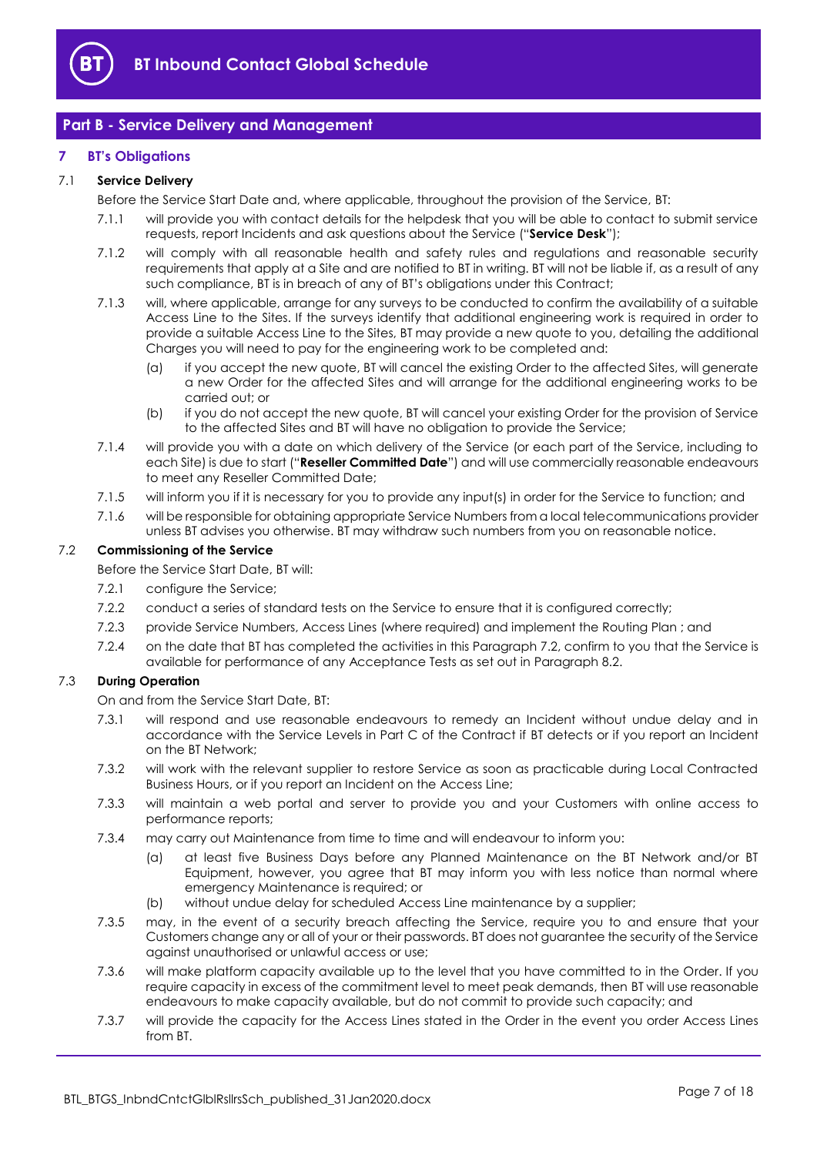

## <span id="page-6-0"></span>**Part B - Service Delivery and Management**

## <span id="page-6-1"></span>**7 BT's Obligations**

## <span id="page-6-7"></span>7.1 **Service Delivery**

Before the Service Start Date and, where applicable, throughout the provision of the Service, BT:

- 7.1.1 will provide you with contact details for the helpdesk that you will be able to contact to submit service requests, report Incidents and ask questions about the Service ("**Service Desk**");
- 7.1.2 will comply with all reasonable health and safety rules and regulations and reasonable security requirements that apply at a Site and are notified to BT in writing. BT will not be liable if, as a result of any such compliance, BT is in breach of any of BT's obligations under this Contract;
- 7.1.3 will, where applicable, arrange for any surveys to be conducted to confirm the availability of a suitable Access Line to the Sites. If the surveys identify that additional engineering work is required in order to provide a suitable Access Line to the Sites, BT may provide a new quote to you, detailing the additional Charges you will need to pay for the engineering work to be completed and:
	- (a) if you accept the new quote, BT will cancel the existing Order to the affected Sites, will generate a new Order for the affected Sites and will arrange for the additional engineering works to be carried out; or
	- (b) if you do not accept the new quote, BT will cancel your existing Order for the provision of Service to the affected Sites and BT will have no obligation to provide the Service;
- <span id="page-6-6"></span>7.1.4 will provide you with a date on which delivery of the Service (or each part of the Service, including to each Site) is due to start ("**Reseller Committed Date**") and will use commercially reasonable endeavours to meet any Reseller Committed Date;
- 7.1.5 will inform you if it is necessary for you to provide any input(s) in order for the Service to function; and
- 7.1.6 will be responsible for obtaining appropriate Service Numbers from a local telecommunications provider unless BT advises you otherwise. BT may withdraw such numbers from you on reasonable notice.

#### <span id="page-6-2"></span>7.2 **Commissioning of the Service**

Before the Service Start Date, BT will:

- 7.2.1 configure the Service;
- 7.2.2 conduct a series of standard tests on the Service to ensure that it is configured correctly;
- 7.2.3 provide Service Numbers, Access Lines (where required) and implement the Routing Plan ; and
- 7.2.4 on the date that BT has completed the activities in this Paragraph [7.2,](#page-6-2) confirm to you that the Service is available for performance of any Acceptance Tests as set out in Paragraph [8.2.](#page-7-1)

## <span id="page-6-4"></span><span id="page-6-3"></span>7.3 **During Operation**

On and from the Service Start Date, BT:

- 7.3.1 will respond and use reasonable endeavours to remedy an Incident without undue delay and in accordance with the Service Levels in Part C of the Contract if BT detects or if you report an Incident on the BT Network;
- <span id="page-6-5"></span>7.3.2 will work with the relevant supplier to restore Service as soon as practicable during Local Contracted Business Hours, or if you report an Incident on the Access Line;
- 7.3.3 will maintain a web portal and server to provide you and your Customers with online access to performance reports;
- 7.3.4 may carry out Maintenance from time to time and will endeavour to inform you:
	- (a) at least five Business Days before any Planned Maintenance on the BT Network and/or BT Equipment, however, you agree that BT may inform you with less notice than normal where emergency Maintenance is required; or
	- (b) without undue delay for scheduled Access Line maintenance by a supplier;
- 7.3.5 may, in the event of a security breach affecting the Service, require you to and ensure that your Customers change any or all of your or their passwords. BT does not guarantee the security of the Service against unauthorised or unlawful access or use;
- 7.3.6 will make platform capacity available up to the level that you have committed to in the Order. If you require capacity in excess of the commitment level to meet peak demands, then BT will use reasonable endeavours to make capacity available, but do not commit to provide such capacity; and
- 7.3.7 will provide the capacity for the Access Lines stated in the Order in the event you order Access Lines from BT.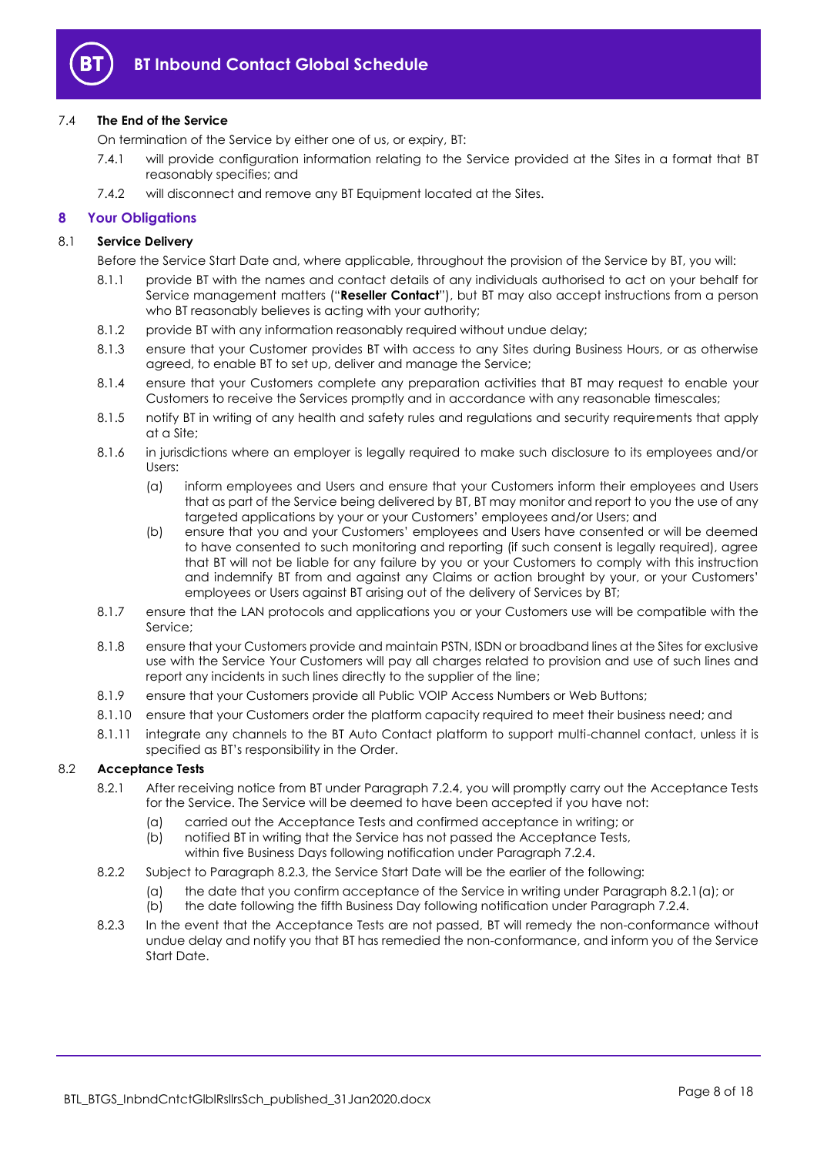

## 7.4 **The End of the Service**

On termination of the Service by either one of us, or expiry, BT:

- 7.4.1 will provide configuration information relating to the Service provided at the Sites in a format that BT reasonably specifies; and
- 7.4.2 will disconnect and remove any BT Equipment located at the Sites.

## <span id="page-7-0"></span>**8 Your Obligations**

## 8.1 **Service Delivery**

- Before the Service Start Date and, where applicable, throughout the provision of the Service by BT, you will:
- 8.1.1 provide BT with the names and contact details of any individuals authorised to act on your behalf for Service management matters ("**Reseller Contact**"), but BT may also accept instructions from a person who BT reasonably believes is acting with your authority;
- 8.1.2 provide BT with any information reasonably required without undue delay;
- 8.1.3 ensure that your Customer provides BT with access to any Sites during Business Hours, or as otherwise agreed, to enable BT to set up, deliver and manage the Service;
- 8.1.4 ensure that your Customers complete any preparation activities that BT may request to enable your Customers to receive the Services promptly and in accordance with any reasonable timescales;
- 8.1.5 notify BT in writing of any health and safety rules and regulations and security requirements that apply at a Site;
- 8.1.6 in jurisdictions where an employer is legally required to make such disclosure to its employees and/or Users:
	- (a) inform employees and Users and ensure that your Customers inform their employees and Users that as part of the Service being delivered by BT, BT may monitor and report to you the use of any targeted applications by your or your Customers' employees and/or Users; and
	- (b) ensure that you and your Customers' employees and Users have consented or will be deemed to have consented to such monitoring and reporting (if such consent is legally required), agree that BT will not be liable for any failure by you or your Customers to comply with this instruction and indemnify BT from and against any Claims or action brought by your, or your Customers' employees or Users against BT arising out of the delivery of Services by BT;
- 8.1.7 ensure that the LAN protocols and applications you or your Customers use will be compatible with the Service;
- 8.1.8 ensure that your Customers provide and maintain PSTN, ISDN or broadband lines at the Sites for exclusive use with the Service Your Customers will pay all charges related to provision and use of such lines and report any incidents in such lines directly to the supplier of the line;
- 8.1.9 ensure that your Customers provide all Public VOIP Access Numbers or Web Buttons;
- 8.1.10 ensure that your Customers order the platform capacity required to meet their business need; and
- 8.1.11 integrate any channels to the BT Auto Contact platform to support multi-channel contact, unless it is specified as BT's responsibility in the Order.

#### <span id="page-7-3"></span><span id="page-7-1"></span>8.2 **Acceptance Tests**

- 8.2.1 After receiving notice from BT under Paragraph [7.2.4,](#page-6-3) you will promptly carry out the Acceptance Tests for the Service. The Service will be deemed to have been accepted if you have not:
	- (a) carried out the Acceptance Tests and confirmed acceptance in writing; or
	- (b) notified BT in writing that the Service has not passed the Acceptance Tests, within five Business Days following notification under Paragraph [7.2.4.](#page-6-3)
- 8.2.2 Subject to Paragraph [8.2.3,](#page-7-2) the Service Start Date will be the earlier of the following:
	- (a) the date that you confirm acceptance of the Service in writing under Paragraph [8.2.1\(a\);](#page-7-3) or
	- (b) the date following the fifth Business Day following notification under Paragraph [7.2.4.](#page-6-3)
- <span id="page-7-2"></span>8.2.3 In the event that the Acceptance Tests are not passed, BT will remedy the non-conformance without undue delay and notify you that BT has remedied the non-conformance, and inform you of the Service Start Date.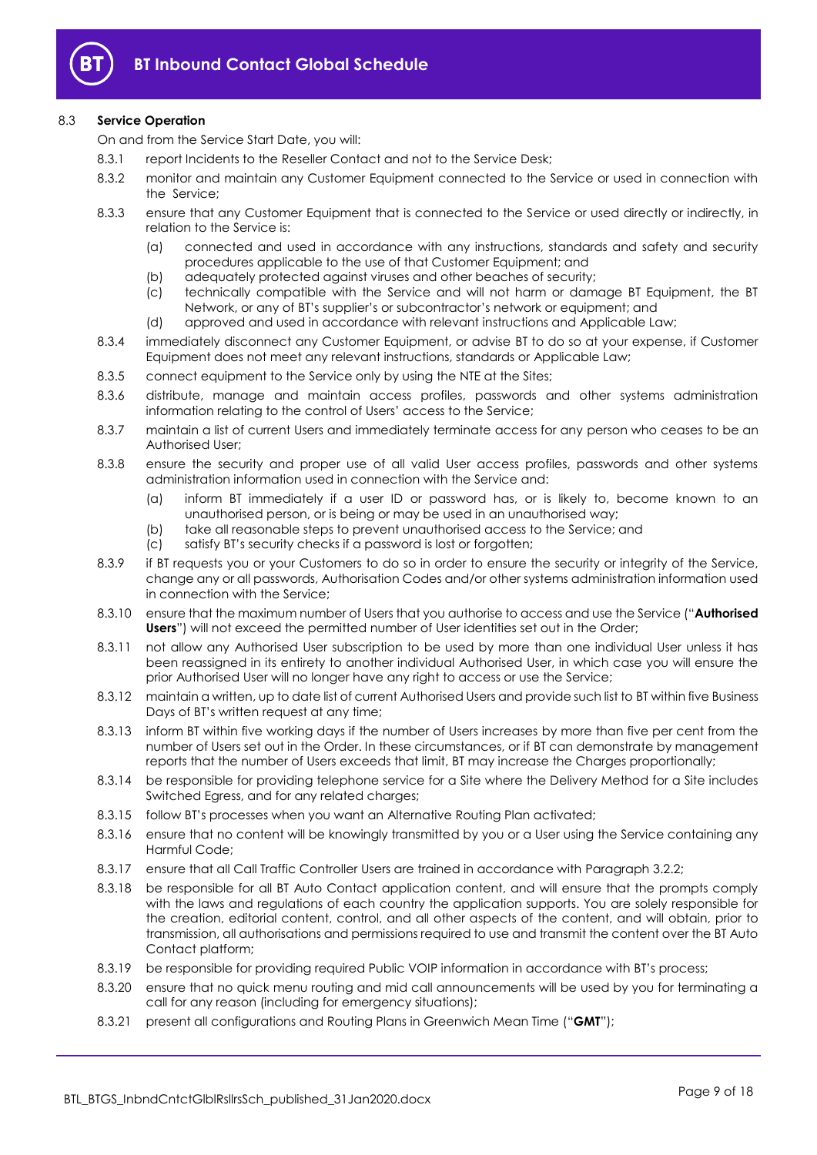

## 8.3 **Service Operation**

On and from the Service Start Date, you will:

- 8.3.1 report Incidents to the Reseller Contact and not to the Service Desk:
- 8.3.2 monitor and maintain any Customer Equipment connected to the Service or used in connection with the Service;
- 8.3.3 ensure that any Customer Equipment that is connected to the Service or used directly or indirectly, in relation to the Service is:
	- (a) connected and used in accordance with any instructions, standards and safety and security procedures applicable to the use of that Customer Equipment; and
	- (b) adequately protected against viruses and other beaches of security;
	- (c) technically compatible with the Service and will not harm or damage BT Equipment, the BT Network, or any of BT's supplier's or subcontractor's network or equipment; and
	- (d) approved and used in accordance with relevant instructions and Applicable Law;
- 8.3.4 immediately disconnect any Customer Equipment, or advise BT to do so at your expense, if Customer Equipment does not meet any relevant instructions, standards or Applicable Law;
- 8.3.5 connect equipment to the Service only by using the NTE at the Sites;
- 8.3.6 distribute, manage and maintain access profiles, passwords and other systems administration information relating to the control of Users' access to the Service;
- 8.3.7 maintain a list of current Users and immediately terminate access for any person who ceases to be an Authorised User;
- 8.3.8 ensure the security and proper use of all valid User access profiles, passwords and other systems administration information used in connection with the Service and:
	- (a) inform BT immediately if a user ID or password has, or is likely to, become known to an unauthorised person, or is being or may be used in an unauthorised way;
	- (b) take all reasonable steps to prevent unauthorised access to the Service; and
	- (c) satisfy BT's security checks if a password is lost or forgotten;
- 8.3.9 if BT requests you or your Customers to do so in order to ensure the security or integrity of the Service, change any or all passwords, Authorisation Codes and/or other systems administration information used in connection with the Service;
- <span id="page-8-1"></span>8.3.10 ensure that the maximum number of Users that you authorise to access and use the Service ("**Authorised Users**") will not exceed the permitted number of User identities set out in the Order;
- 8.3.11 not allow any Authorised User subscription to be used by more than one individual User unless it has been reassigned in its entirety to another individual Authorised User, in which case you will ensure the prior Authorised User will no longer have any right to access or use the Service;
- 8.3.12 maintain a written, up to date list of current Authorised Users and provide such list to BT within five Business Days of BT's written request at any time;
- 8.3.13 inform BT within five working days if the number of Users increases by more than five per cent from the number of Users set out in the Order. In these circumstances, or if BT can demonstrate by management reports that the number of Users exceeds that limit, BT may increase the Charges proportionally;
- 8.3.14 be responsible for providing telephone service for a Site where the Delivery Method for a Site includes Switched Egress, and for any related charges;
- 8.3.15 follow BT's processes when you want an Alternative Routing Plan activated;
- 8.3.16 ensure that no content will be knowingly transmitted by you or a User using the Service containing any Harmful Code;
- 8.3.17 ensure that all Call Traffic Controller Users are trained in accordance with Paragraph [3.2.2;](#page-2-1)
- <span id="page-8-0"></span>8.3.18 be responsible for all BT Auto Contact application content, and will ensure that the prompts comply with the laws and regulations of each country the application supports. You are solely responsible for the creation, editorial content, control, and all other aspects of the content, and will obtain, prior to transmission, all authorisations and permissions required to use and transmit the content over the BT Auto Contact platform;
- 8.3.19 be responsible for providing required Public VOIP information in accordance with BT's process;
- 8.3.20 ensure that no quick menu routing and mid call announcements will be used by you for terminating a call for any reason (including for emergency situations);
- 8.3.21 present all configurations and Routing Plans in Greenwich Mean Time ("**GMT**");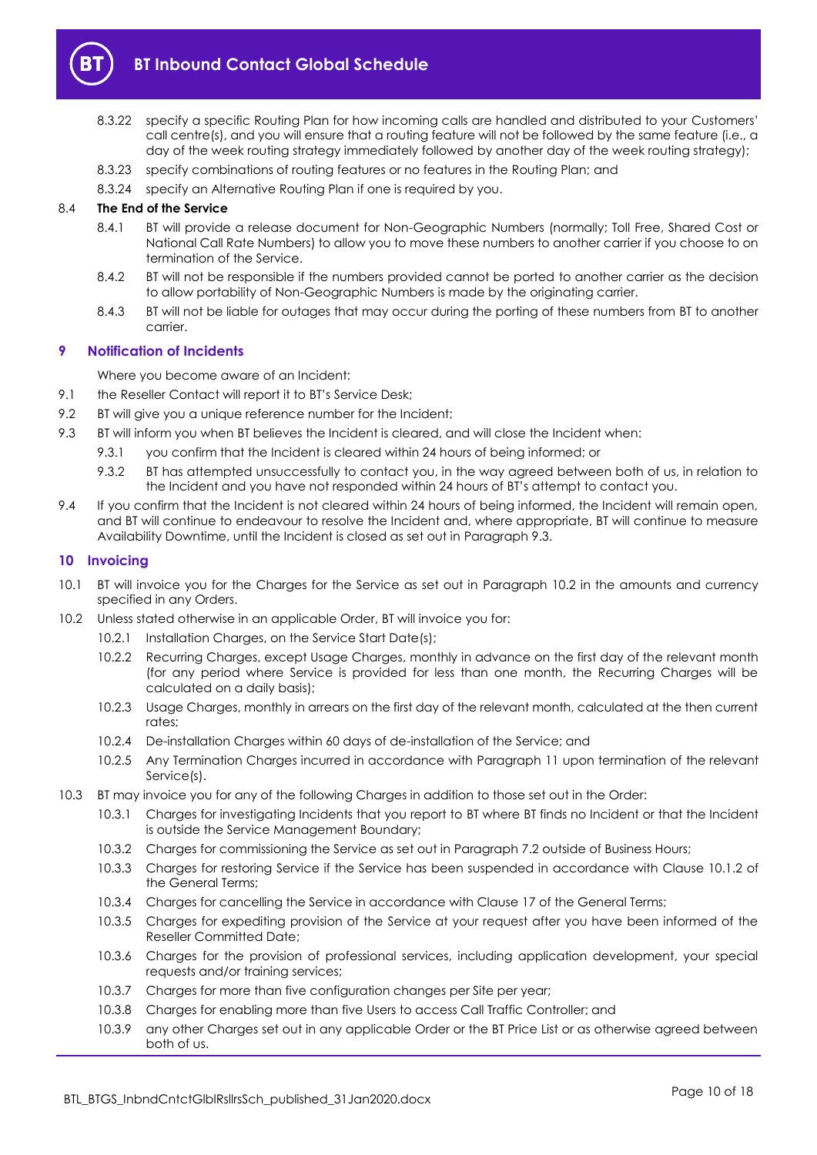

- 8.3.22 specify a specific Routing Plan for how incoming calls are handled and distributed to your Customers' call centre(s), and you will ensure that a routing feature will not be followed by the same feature (i.e., a day of the week routing strategy immediately followed by another day of the week routing strategy);
- 8.3.23 specify combinations of routing features or no features in the Routing Plan; and
- 8.3.24 specify an Alternative Routing Plan if one is required by you.

## 8.4 **The End of the Service**

- 8.4.1 BT will provide a release document for Non-Geographic Numbers (normally; Toll Free, Shared Cost or National Call Rate Numbers) to allow you to move these numbers to another carrier if you choose to on termination of the Service.
- 8.4.2 BT will not be responsible if the numbers provided cannot be ported to another carrier as the decision to allow portability of Non-Geographic Numbers is made by the originating carrier.
- 8.4.3 BT will not be liable for outages that may occur during the porting of these numbers from BT to another carrier.

## <span id="page-9-0"></span>**9 Notification of Incidents**

Where you become aware of an Incident:

- 9.1 the Reseller Contact will report it to BT's Service Desk;
- 9.2 BT will give you a unique reference number for the Incident;
- <span id="page-9-2"></span>9.3 BT will inform you when BT believes the Incident is cleared, and will close the Incident when:
	- 9.3.1 you confirm that the Incident is cleared within 24 hours of being informed; or
		- 9.3.2 BT has attempted unsuccessfully to contact you, in the way agreed between both of us, in relation to the Incident and you have not responded within 24 hours of BT's attempt to contact you.
- 9.4 If you confirm that the Incident is not cleared within 24 hours of being informed, the Incident will remain open, and BT will continue to endeavour to resolve the Incident and, where appropriate, BT will continue to measure Availability Downtime, until the Incident is closed as set out in Paragraph [9.3.](#page-9-2)

## <span id="page-9-1"></span>**10 Invoicing**

- 10.1 BT will invoice you for the Charges for the Service as set out in Paragraph [10.2](#page-9-3) in the amounts and currency specified in any Orders.
- <span id="page-9-3"></span>10.2 Unless stated otherwise in an applicable Order, BT will invoice you for:
	- 10.2.1 Installation Charges, on the Service Start Date(s);
	- 10.2.2 Recurring Charges, except Usage Charges, monthly in advance on the first day of the relevant month (for any period where Service is provided for less than one month, the Recurring Charges will be calculated on a daily basis);
	- 10.2.3 Usage Charges, monthly in arrears on the first day of the relevant month, calculated at the then current rates;
	- 10.2.4 De-installation Charges within 60 days of de-installation of the Service; and
	- 10.2.5 Any Termination Charges incurred in accordance with Paragraph [11](#page-10-0) upon termination of the relevant Service(s).
- 10.3 BT may invoice you for any of the following Charges in addition to those set out in the Order:
	- 10.3.1 Charges for investigating Incidents that you report to BT where BT finds no Incident or that the Incident is outside the Service Management Boundary;
	- 10.3.2 Charges for commissioning the Service as set out in Paragraph [7.2](#page-6-2) outside of Business Hours;
	- 10.3.3 Charges for restoring Service if the Service has been suspended in accordance with Clause 10.1.2 of the General Terms;
	- 10.3.4 Charges for cancelling the Service in accordance with Clause 17 of the General Terms;
	- 10.3.5 Charges for expediting provision of the Service at your request after you have been informed of the Reseller Committed Date;
	- 10.3.6 Charges for the provision of professional services, including application development, your special requests and/or training services;
	- 10.3.7 Charges for more than five configuration changes per Site per year;
	- 10.3.8 Charges for enabling more than five Users to access Call Traffic Controller; and
	- 10.3.9 any other Charges set out in any applicable Order or the BT Price List or as otherwise agreed between both of us.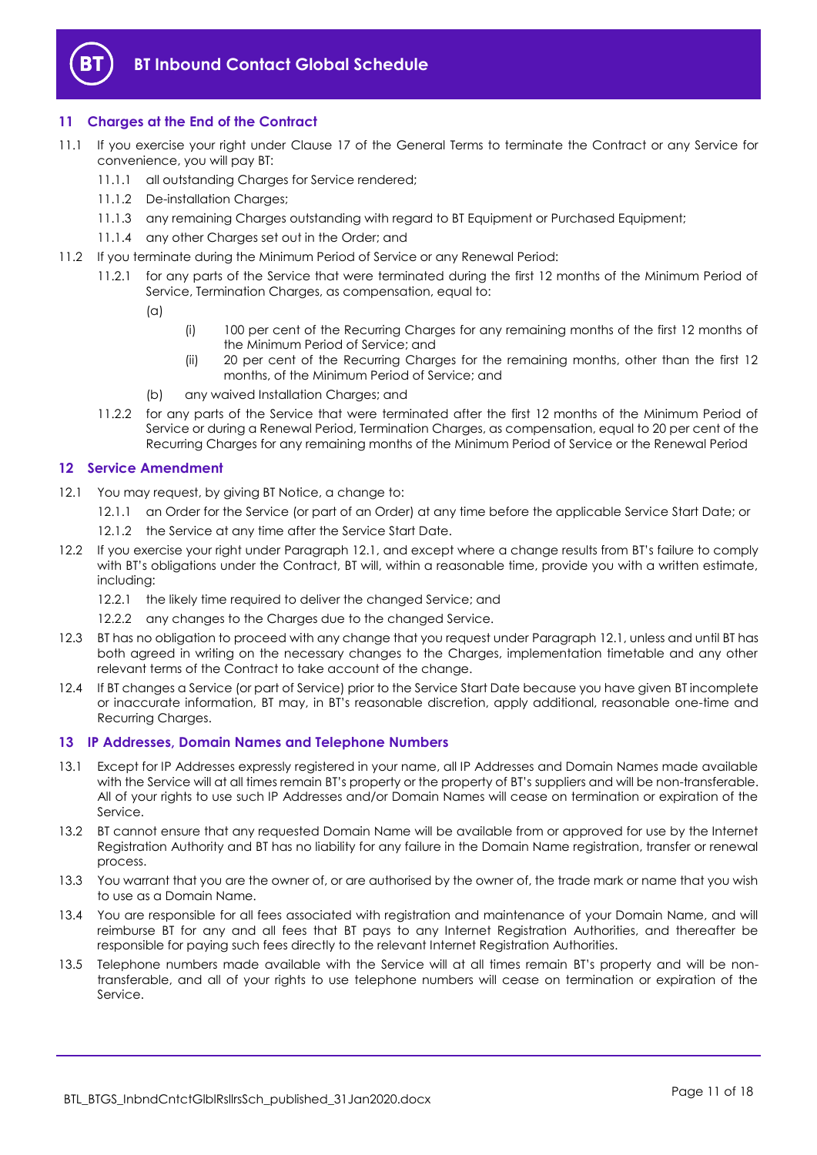

## <span id="page-10-0"></span>**11 Charges at the End of the Contract**

- 11.1 If you exercise your right under Clause 17 of the General Terms to terminate the Contract or any Service for convenience, you will pay BT:
	- 11.1.1 all outstanding Charges for Service rendered:
	- 11.1.2 De-installation Charges;
	- 11.1.3 any remaining Charges outstanding with regard to BT Equipment or Purchased Equipment;
	- 11.1.4 any other Charges set out in the Order; and
- 11.2 If you terminate during the Minimum Period of Service or any Renewal Period:
	- 11.2.1 for any parts of the Service that were terminated during the first 12 months of the Minimum Period of Service, Termination Charges, as compensation, equal to:
		- $(a)$
- (i) 100 per cent of the Recurring Charges for any remaining months of the first 12 months of the Minimum Period of Service; and
- (ii) 20 per cent of the Recurring Charges for the remaining months, other than the first 12 months, of the Minimum Period of Service; and
- (b) any waived Installation Charges; and
- 11.2.2 for any parts of the Service that were terminated after the first 12 months of the Minimum Period of Service or during a Renewal Period, Termination Charges, as compensation, equal to 20 per cent of the Recurring Charges for any remaining months of the Minimum Period of Service or the Renewal Period

## <span id="page-10-1"></span>**12 Service Amendment**

- <span id="page-10-3"></span>12.1 You may request, by giving BT Notice, a change to:
	- 12.1.1 an Order for the Service (or part of an Order) at any time before the applicable Service Start Date; or
	- 12.1.2 the Service at any time after the Service Start Date.
- 12.2 If you exercise your right under Paragraph [12.1,](#page-10-3) and except where a change results from BT's failure to comply with BT's obligations under the Contract, BT will, within a reasonable time, provide you with a written estimate, including:
	- 12.2.1 the likely time required to deliver the changed Service; and
	- 12.2.2 any changes to the Charges due to the changed Service.
- 12.3 BT has no obligation to proceed with any change that you request under Paragraph [12.1,](#page-10-3) unless and until BT has both agreed in writing on the necessary changes to the Charges, implementation timetable and any other relevant terms of the Contract to take account of the change.
- 12.4 If BT changes a Service (or part of Service) prior to the Service Start Date because you have given BT incomplete or inaccurate information, BT may, in BT's reasonable discretion, apply additional, reasonable one-time and Recurring Charges.

#### <span id="page-10-2"></span>**13 IP Addresses, Domain Names and Telephone Numbers**

- 13.1 Except for IP Addresses expressly registered in your name, all IP Addresses and Domain Names made available with the Service will at all times remain BT's property or the property of BT's suppliers and will be non-transferable. All of your rights to use such IP Addresses and/or Domain Names will cease on termination or expiration of the Service.
- 13.2 BT cannot ensure that any requested Domain Name will be available from or approved for use by the Internet Registration Authority and BT has no liability for any failure in the Domain Name registration, transfer or renewal process.
- 13.3 You warrant that you are the owner of, or are authorised by the owner of, the trade mark or name that you wish to use as a Domain Name.
- 13.4 You are responsible for all fees associated with registration and maintenance of your Domain Name, and will reimburse BT for any and all fees that BT pays to any Internet Registration Authorities, and thereafter be responsible for paying such fees directly to the relevant Internet Registration Authorities.
- 13.5 Telephone numbers made available with the Service will at all times remain BT's property and will be nontransferable, and all of your rights to use telephone numbers will cease on termination or expiration of the Service.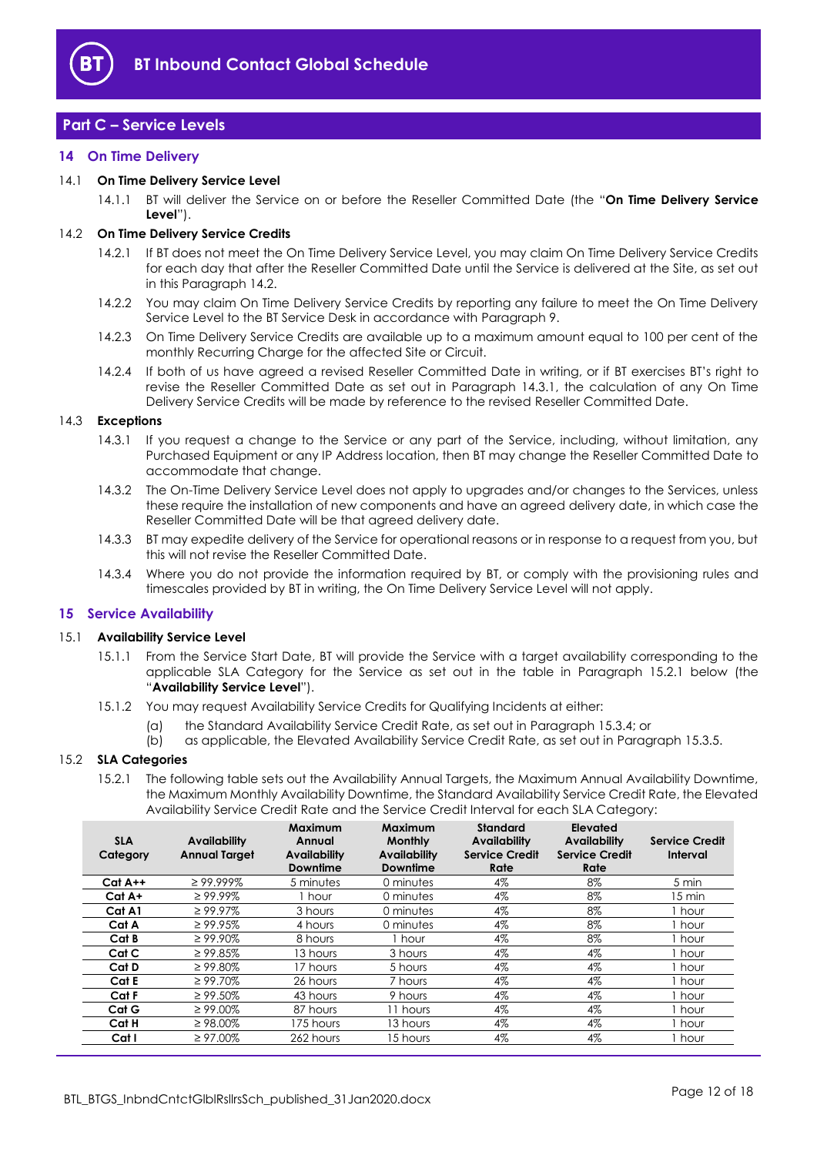

# <span id="page-11-0"></span>**Part C – Service Levels**

#### <span id="page-11-1"></span>**14 On Time Delivery**

#### <span id="page-11-7"></span>14.1 **On Time Delivery Service Level**

14.1.1 BT will deliver the Service on or before the Reseller Committed Date (the "**On Time Delivery Service Level**").

#### <span id="page-11-3"></span>14.2 **On Time Delivery Service Credits**

- 14.2.1 If BT does not meet the On Time Delivery Service Level, you may claim On Time Delivery Service Credits for each day that after the Reseller Committed Date until the Service is delivered at the Site, as set out in this Paragraph [14.2.](#page-11-3)
- 14.2.2 You may claim On Time Delivery Service Credits by reporting any failure to meet the On Time Delivery Service Level to the BT Service Desk in accordance with Paragraph [9.](#page-9-0)
- 14.2.3 On Time Delivery Service Credits are available up to a maximum amount equal to 100 per cent of the monthly Recurring Charge for the affected Site or Circuit.
- 14.2.4 If both of us have agreed a revised Reseller Committed Date in writing, or if BT exercises BT's right to revise the Reseller Committed Date as set out in Paragraph [14.3.1,](#page-11-4) the calculation of any On Time Delivery Service Credits will be made by reference to the revised Reseller Committed Date.

#### <span id="page-11-4"></span>14.3 **Exceptions**

- 14.3.1 If you request a change to the Service or any part of the Service, including, without limitation, any Purchased Equipment or any IP Address location, then BT may change the Reseller Committed Date to accommodate that change.
- 14.3.2 The On-Time Delivery Service Level does not apply to upgrades and/or changes to the Services, unless these require the installation of new components and have an agreed delivery date, in which case the Reseller Committed Date will be that agreed delivery date.
- 14.3.3 BT may expedite delivery of the Service for operational reasons or in response to a request from you, but this will not revise the Reseller Committed Date.
- 14.3.4 Where you do not provide the information required by BT, or comply with the provisioning rules and timescales provided by BT in writing, the On Time Delivery Service Level will not apply.

#### <span id="page-11-2"></span>**15 Service Availability**

## <span id="page-11-6"></span>15.1 **Availability Service Level**

- 15.1.1 From the Service Start Date, BT will provide the Service with a target availability corresponding to the applicable SLA Category for the Service as set out in the table in Paragraph [15.2.1](#page-11-5) below (the "**Availability Service Level**").
- 15.1.2 You may request Availability Service Credits for Qualifying Incidents at either:
	- (a) the Standard Availability Service Credit Rate, as set out in Paragraph [15.3.4;](#page-12-2) or
	- (b) as applicable, the Elevated Availability Service Credit Rate, as set out in Paragraph [15.3.5.](#page-12-3)

#### <span id="page-11-5"></span>15.2 **SLA Categories**

15.2.1 The following table sets out the Availability Annual Targets, the Maximum Annual Availability Downtime, the Maximum Monthly Availability Downtime, the Standard Availability Service Credit Rate, the Elevated Availability Service Credit Rate and the Service Credit Interval for each SLA Category:

| <b>SLA</b><br>Category | <b>Availability</b><br><b>Annual Target</b> | Maximum<br>Annual<br><b>Availability</b><br><b>Downtime</b> | Maximum<br><b>Monthly</b><br><b>Availability</b><br><b>Downtime</b> | <b>Standard</b><br><b>Availability</b><br><b>Service Credit</b><br>Rate | Elevated<br><b>Availability</b><br><b>Service Credit</b><br>Rate | <b>Service Credit</b><br>Interval |
|------------------------|---------------------------------------------|-------------------------------------------------------------|---------------------------------------------------------------------|-------------------------------------------------------------------------|------------------------------------------------------------------|-----------------------------------|
| $Cat A++$              | $\geq$ 99.999%                              | 5 minutes                                                   | 0 minutes                                                           | 4%                                                                      | 8%                                                               | 5 min                             |
| Cat A+                 | $\geq 99.99\%$                              | hour                                                        | 0 minutes                                                           | 4%                                                                      | 8%                                                               | 15 min                            |
| Cat A1                 | $\geq 99.97\%$                              | 3 hours                                                     | 0 minutes                                                           | 4%                                                                      | 8%                                                               | l hour                            |
| Cat A                  | $\geq$ 99.95%                               | 4 hours                                                     | 0 minutes                                                           | 4%                                                                      | 8%                                                               | I hour                            |
| Cat B                  | $\geq 99.90\%$                              | 8 hours                                                     | hour                                                                | 4%                                                                      | 8%                                                               | . hour                            |
| Cat C                  | $\geq$ 99.85%                               | 13 hours                                                    | 3 hours                                                             | 4%                                                                      | 4%                                                               | I hour                            |
| Cat D                  | $\geq 99.80\%$                              | 17 hours                                                    | 5 hours                                                             | 4%                                                                      | 4%                                                               | l hour                            |
| Cat E                  | $\geq 99.70\%$                              | 26 hours                                                    | 7 hours                                                             | 4%                                                                      | 4%                                                               | , hour                            |
| Cat F                  | $\geq 99.50\%$                              | 43 hours                                                    | 9 hours                                                             | 4%                                                                      | 4%                                                               | I hour                            |
| Cat G                  | $\geq 99.00\%$                              | 87 hours                                                    | 11 hours                                                            | 4%                                                                      | 4%                                                               | l hour                            |
| Cat H                  | $\geq$ 98.00%                               | 175 hours                                                   | 13 hours                                                            | 4%                                                                      | 4%                                                               | hour .                            |
| Cat I                  | $\geq 97.00\%$                              | 262 hours                                                   | 15 hours                                                            | 4%                                                                      | 4%                                                               | i hour                            |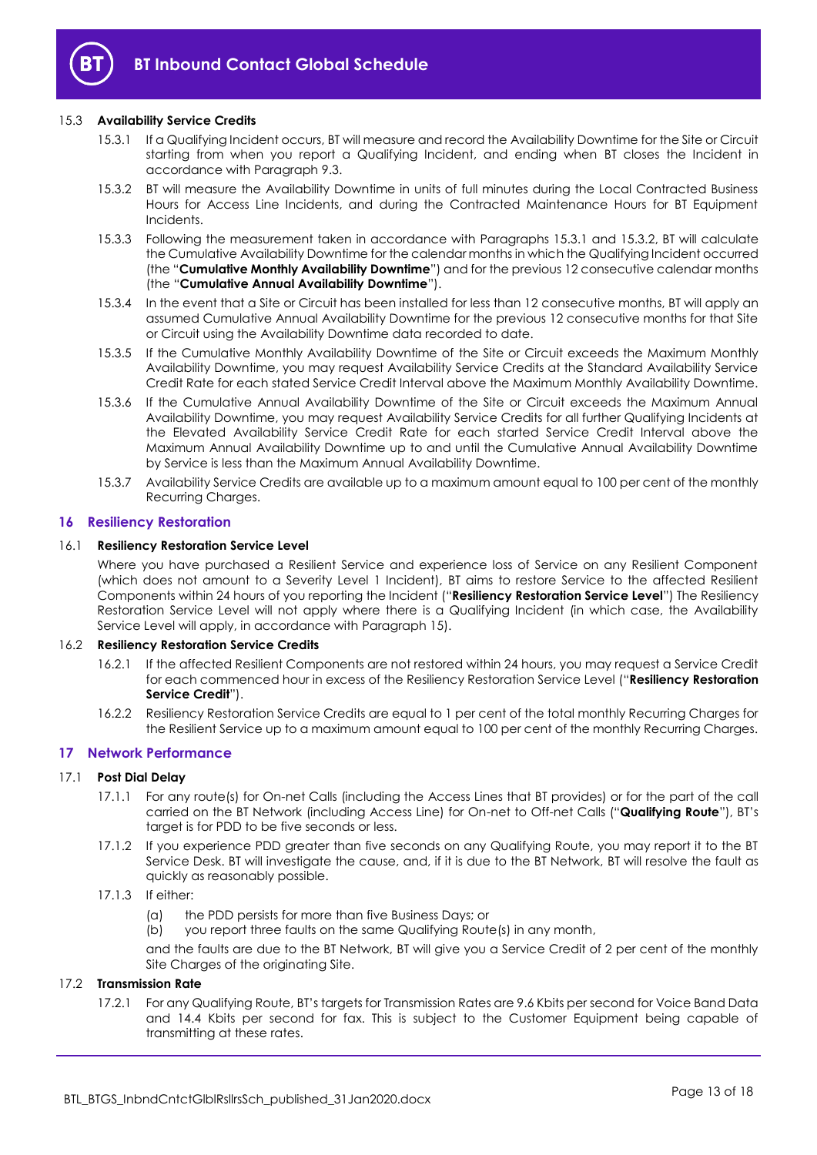

## <span id="page-12-4"></span>15.3 **Availability Service Credits**

- 15.3.1 If a Qualifying Incident occurs, BT will measure and record the Availability Downtime for the Site or Circuit starting from when you report a Qualifying Incident, and ending when BT closes the Incident in accordance with Paragraph [9.3.](#page-9-2)
- <span id="page-12-5"></span>15.3.2 BT will measure the Availability Downtime in units of full minutes during the Local Contracted Business Hours for Access Line Incidents, and during the Contracted Maintenance Hours for BT Equipment **Incidents**
- <span id="page-12-6"></span>15.3.3 Following the measurement taken in accordance with Paragraphs [15.3.1](#page-12-4) and [15.3.2,](#page-12-5) BT will calculate the Cumulative Availability Downtime for the calendar months in which the Qualifying Incident occurred (the "**Cumulative Monthly Availability Downtime**") and for the previous 12 consecutive calendar months (the "**Cumulative Annual Availability Downtime**").
- <span id="page-12-2"></span>15.3.4 In the event that a Site or Circuit has been installed for less than 12 consecutive months, BT will apply an assumed Cumulative Annual Availability Downtime for the previous 12 consecutive months for that Site or Circuit using the Availability Downtime data recorded to date.
- <span id="page-12-3"></span>15.3.5 If the Cumulative Monthly Availability Downtime of the Site or Circuit exceeds the Maximum Monthly Availability Downtime, you may request Availability Service Credits at the Standard Availability Service Credit Rate for each stated Service Credit Interval above the Maximum Monthly Availability Downtime.
- 15.3.6 If the Cumulative Annual Availability Downtime of the Site or Circuit exceeds the Maximum Annual Availability Downtime, you may request Availability Service Credits for all further Qualifying Incidents at the Elevated Availability Service Credit Rate for each started Service Credit Interval above the Maximum Annual Availability Downtime up to and until the Cumulative Annual Availability Downtime by Service is less than the Maximum Annual Availability Downtime.
- 15.3.7 Availability Service Credits are available up to a maximum amount equal to 100 per cent of the monthly Recurring Charges.

#### <span id="page-12-0"></span>**16 Resiliency Restoration**

#### <span id="page-12-10"></span>16.1 **Resiliency Restoration Service Level**

Where you have purchased a Resilient Service and experience loss of Service on any Resilient Component (which does not amount to a Severity Level 1 Incident), BT aims to restore Service to the affected Resilient Components within 24 hours of you reporting the Incident ("**Resiliency Restoration Service Level**") The Resiliency Restoration Service Level will not apply where there is a Qualifying Incident (in which case, the Availability Service Level will apply, in accordance with Paragraph [15\)](#page-11-2).

#### <span id="page-12-9"></span>16.2 **Resiliency Restoration Service Credits**

- 16.2.1 If the affected Resilient Components are not restored within 24 hours, you may request a Service Credit for each commenced hour in excess of the Resiliency Restoration Service Level ("**Resiliency Restoration Service Credit**").
- 16.2.2 Resiliency Restoration Service Credits are equal to 1 per cent of the total monthly Recurring Charges for the Resilient Service up to a maximum amount equal to 100 per cent of the monthly Recurring Charges.

#### <span id="page-12-1"></span>**17 Network Performance**

#### <span id="page-12-8"></span><span id="page-12-7"></span>17.1 **Post Dial Delay**

- 17.1.1 For any route(s) for On-net Calls (including the Access Lines that BT provides) or for the part of the call carried on the BT Network (including Access Line) for On-net to Off-net Calls ("**Qualifying Route**"), BT's target is for PDD to be five seconds or less.
- 17.1.2 If you experience PDD greater than five seconds on any Qualifying Route, you may report it to the BT Service Desk. BT will investigate the cause, and, if it is due to the BT Network, BT will resolve the fault as quickly as reasonably possible.

## 17.1.3 If either:

(a) the PDD persists for more than five Business Days; or

(b) you report three faults on the same Qualifying Route(s) in any month,

and the faults are due to the BT Network, BT will give you a Service Credit of 2 per cent of the monthly Site Charges of the originating Site.

## 17.2 **Transmission Rate**

17.2.1 For any Qualifying Route, BT's targets for Transmission Rates are 9.6 Kbits per second for Voice Band Data and 14.4 Kbits per second for fax. This is subject to the Customer Equipment being capable of transmitting at these rates.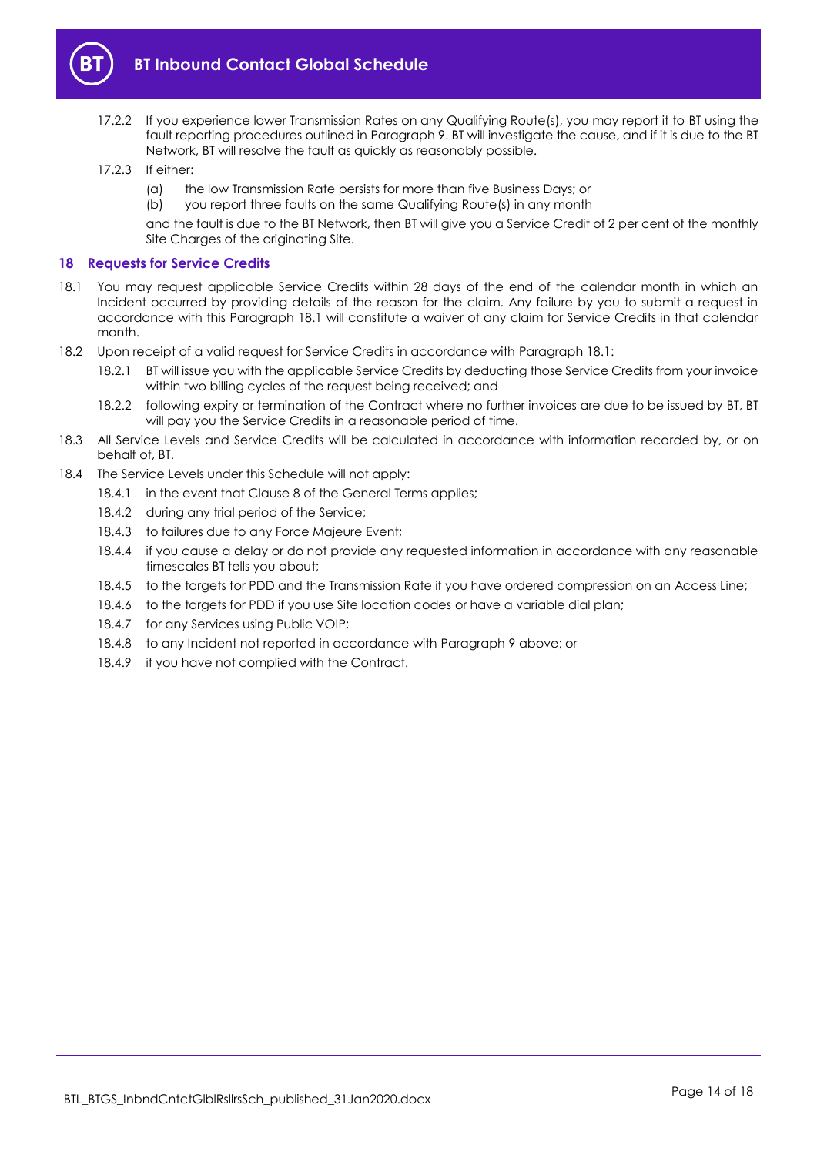

- 17.2.2 If you experience lower Transmission Rates on any Qualifying Route(s), you may report it to BT using the fault reporting procedures outlined in Paragraph [9.](#page-9-0) BT will investigate the cause, and if it is due to the BT Network, BT will resolve the fault as quickly as reasonably possible.
- 17.2.3 If either:
	- (a) the low Transmission Rate persists for more than five Business Days; or
	- (b) you report three faults on the same Qualifying Route(s) in any month

and the fault is due to the BT Network, then BT will give you a Service Credit of 2 per cent of the monthly Site Charges of the originating Site.

## <span id="page-13-0"></span>**18 Requests for Service Credits**

- <span id="page-13-1"></span>18.1 You may request applicable Service Credits within 28 days of the end of the calendar month in which an Incident occurred by providing details of the reason for the claim. Any failure by you to submit a request in accordance with this Paragraph [18.1](#page-13-1) will constitute a waiver of any claim for Service Credits in that calendar month.
- 18.2 Upon receipt of a valid request for Service Credits in accordance with Paragraph [18.1:](#page-13-1)
	- 18.2.1 BT will issue you with the applicable Service Credits by deducting those Service Credits from your invoice within two billing cycles of the request being received; and
	- 18.2.2 following expiry or termination of the Contract where no further invoices are due to be issued by BT, BT will pay you the Service Credits in a reasonable period of time.
- 18.3 All Service Levels and Service Credits will be calculated in accordance with information recorded by, or on behalf of, BT.
- 18.4 The Service Levels under this Schedule will not apply:
	- 18.4.1 in the event that Clause 8 of the General Terms applies;
	- 18.4.2 during any trial period of the Service;
	- 18.4.3 to failures due to any Force Majeure Event;
	- 18.4.4 if you cause a delay or do not provide any requested information in accordance with any reasonable timescales BT tells you about;
	- 18.4.5 to the targets for PDD and the Transmission Rate if you have ordered compression on an Access Line;
	- 18.4.6 to the targets for PDD if you use Site location codes or have a variable dial plan;
	- 18.4.7 for any Services using Public VOIP;
	- 18.4.8 to any Incident not reported in accordance with Paragraph [9](#page-9-0) above; or
	- 18.4.9 if you have not complied with the Contract.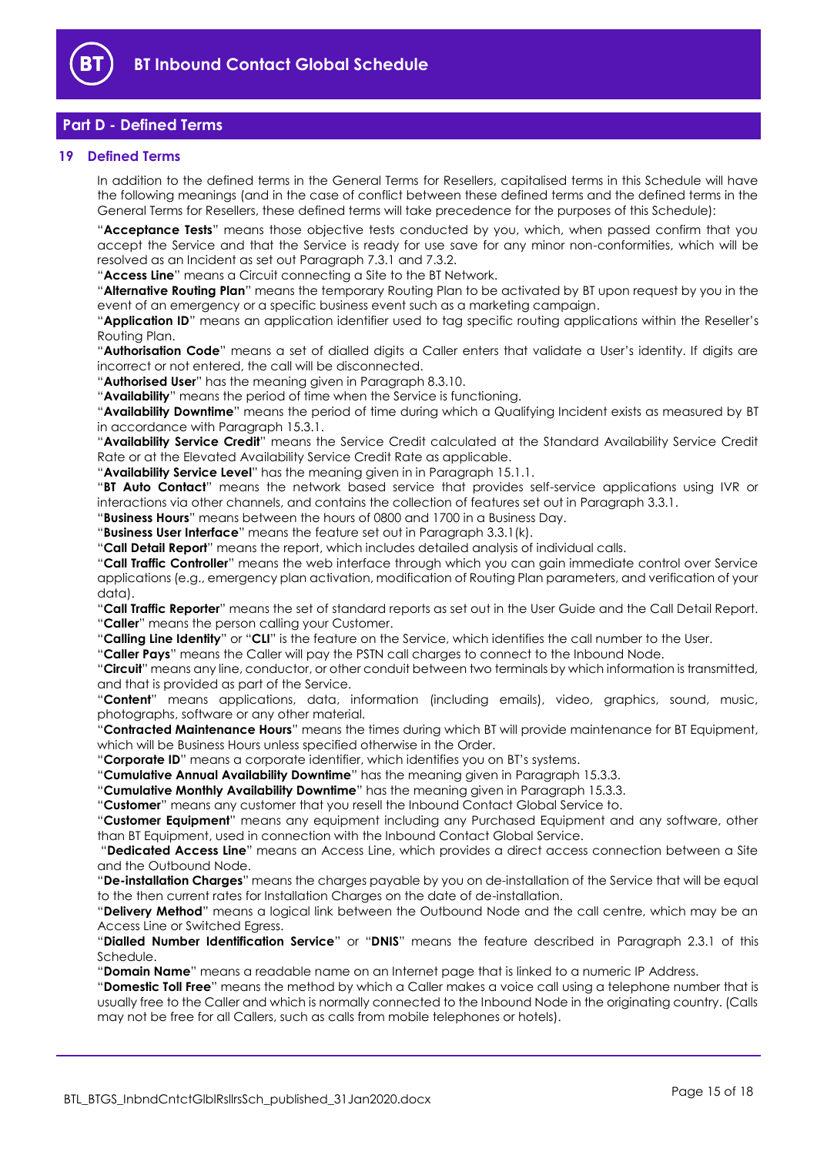

# <span id="page-14-0"></span>**Part D - Defined Terms**

## <span id="page-14-1"></span>**19 Defined Terms**

In addition to the defined terms in the General Terms for Resellers, capitalised terms in this Schedule will have the following meanings (and in the case of conflict between these defined terms and the defined terms in the General Terms for Resellers, these defined terms will take precedence for the purposes of this Schedule):

"**Acceptance Tests**" means those objective tests conducted by you, which, when passed confirm that you accept the Service and that the Service is ready for use save for any minor non-conformities, which will be resolved as an Incident as set out Paragraph [7.3.1](#page-6-4) an[d 7.3.2.](#page-6-5)

"**Access Line**" means a Circuit connecting a Site to the BT Network.

"**Alternative Routing Plan**" means the temporary Routing Plan to be activated by BT upon request by you in the event of an emergency or a specific business event such as a marketing campaign.

"**Application ID**" means an application identifier used to tag specific routing applications within the Reseller's Routing Plan.

"**Authorisation Code**" means a set of dialled digits a Caller enters that validate a User's identity. If digits are incorrect or not entered, the call will be disconnected.

"**Authorised User**" has the meaning given in Paragraph [8.3.10.](#page-8-1)

"**Availability**" means the period of time when the Service is functioning.

"**Availability Downtime**" means the period of time during which a Qualifying Incident exists as measured by BT in accordance with Paragraph [15.3.1.](#page-12-4)

"**Availability Service Credit**" means the Service Credit calculated at the Standard Availability Service Credit Rate or at the Elevated Availability Service Credit Rate as applicable.

"**Availability Service Level**" has the meaning given in in Paragraph [15.1.1.](#page-11-6)

"**BT Auto Contact**" means the network based service that provides self-service applications using IVR or interactions via other channels, and contains the collection of features set out in Paragraph [3.3.1.](#page-2-2)

"**Business Hours**" means between the hours of 0800 and 1700 in a Business Day.

"**Business User Interface**" means the feature set out in Paragraph [3.3.1\(k\).](#page-3-1)

"**Call Detail Report**" means the report, which includes detailed analysis of individual calls.

"**Call Traffic Controller**" means the web interface through which you can gain immediate control over Service applications (e.g., emergency plan activation, modification of Routing Plan parameters, and verification of your data).

"**Call Traffic Reporter**" means the set of standard reports as set out in the User Guide and the Call Detail Report. "**Caller**" means the person calling your Customer.

"**Calling Line Identity**" or "**CLI**" is the feature on the Service, which identifies the call number to the User.

"**Caller Pays**" means the Caller will pay the PSTN call charges to connect to the Inbound Node.

"**Circuit**" means any line, conductor, or other conduit between two terminals by which information is transmitted, and that is provided as part of the Service.

"**Content**" means applications, data, information (including emails), video, graphics, sound, music, photographs, software or any other material.

"**Contracted Maintenance Hours**" means the times during which BT will provide maintenance for BT Equipment, which will be Business Hours unless specified otherwise in the Order.

"**Corporate ID**" means a corporate identifier, which identifies you on BT's systems.

"**Cumulative Annual Availability Downtime**" has the meaning given in Paragraph [15.3.3.](#page-12-6)

"**Cumulative Monthly Availability Downtime**" has the meaning given in Paragraph [15.3.3.](#page-12-6)

"**Customer**" means any customer that you resell the Inbound Contact Global Service to.

"**Customer Equipment**" means any equipment including any Purchased Equipment and any software, other than BT Equipment, used in connection with the Inbound Contact Global Service.

"**Dedicated Access Line**" means an Access Line, which provides a direct access connection between a Site and the Outbound Node.

"**De-installation Charges**" means the charges payable by you on de-installation of the Service that will be equal to the then current rates for Installation Charges on the date of de-installation.

"**Delivery Method**" means a logical link between the Outbound Node and the call centre, which may be an Access Line or Switched Egress.

"**Dialled Number Identification Service**" or "**DNIS**" means the feature described in Paragraph [2.3.1](#page-1-5) of this Schedule.

"**Domain Name**" means a readable name on an Internet page that is linked to a numeric IP Address.

"**Domestic Toll Free**" means the method by which a Caller makes a voice call using a telephone number that is usually free to the Caller and which is normally connected to the Inbound Node in the originating country. (Calls may not be free for all Callers, such as calls from mobile telephones or hotels).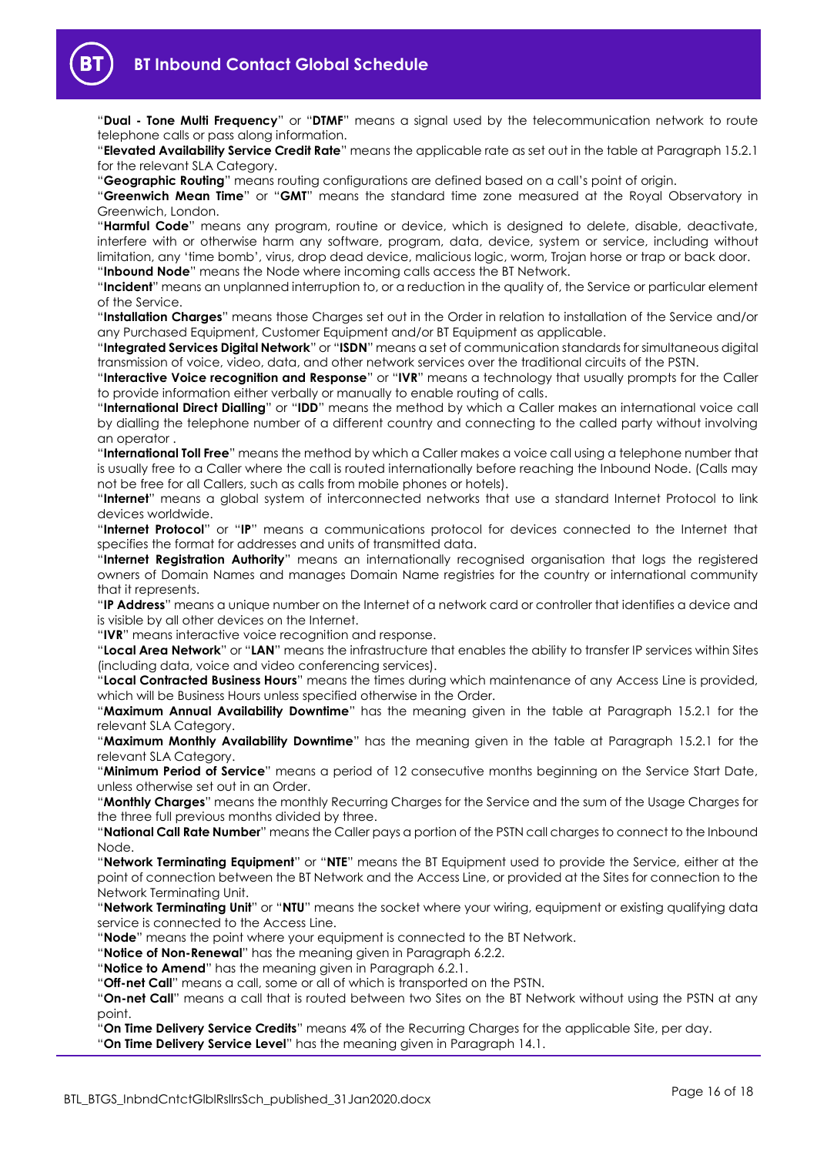

"**Dual - Tone Multi Frequency**" or "**DTMF**" means a signal used by the telecommunication network to route telephone calls or pass along information.

"**Elevated Availability Service Credit Rate**" means the applicable rate as set out in the table at Paragraph [15.2.1](#page-11-5) for the relevant SLA Category.

"**Geographic Routing**" means routing configurations are defined based on a call's point of origin.

"**Greenwich Mean Time**" or "**GMT**" means the standard time zone measured at the Royal Observatory in Greenwich, London.

"**Harmful Code**" means any program, routine or device, which is designed to delete, disable, deactivate, interfere with or otherwise harm any software, program, data, device, system or service, including without limitation, any 'time bomb', virus, drop dead device, malicious logic, worm, Trojan horse or trap or back door. "**Inbound Node**" means the Node where incoming calls access the BT Network.

"**Incident**" means an unplanned interruption to, or a reduction in the quality of, the Service or particular element of the Service.

"**Installation Charges**" means those Charges set out in the Order in relation to installation of the Service and/or any Purchased Equipment, Customer Equipment and/or BT Equipment as applicable.

"**Integrated Services Digital Network**" or "**ISDN**" means a set of communication standards for simultaneous digital transmission of voice, video, data, and other network services over the traditional circuits of the PSTN.

"**Interactive Voice recognition and Response**" or "**IVR**" means a technology that usually prompts for the Caller to provide information either verbally or manually to enable routing of calls.

"**International Direct Dialling**" or "**IDD**" means the method by which a Caller makes an international voice call by dialling the telephone number of a different country and connecting to the called party without involving an operator .

"**International Toll Free**" means the method by which a Caller makes a voice call using a telephone number that is usually free to a Caller where the call is routed internationally before reaching the Inbound Node. (Calls may not be free for all Callers, such as calls from mobile phones or hotels).

"**Internet**" means a global system of interconnected networks that use a standard Internet Protocol to link devices worldwide.

"**Internet Protocol**" or "**IP**" means a communications protocol for devices connected to the Internet that specifies the format for addresses and units of transmitted data.

"**Internet Registration Authority**" means an internationally recognised organisation that logs the registered owners of Domain Names and manages Domain Name registries for the country or international community that it represents.

"**IP Address**" means a unique number on the Internet of a network card or controller that identifies a device and is visible by all other devices on the Internet.

"**IVR**" means interactive voice recognition and response.

"**Local Area Network**" or "**LAN**" means the infrastructure that enables the ability to transfer IP services within Sites (including data, voice and video conferencing services).

"**Local Contracted Business Hours**" means the times during which maintenance of any Access Line is provided, which will be Business Hours unless specified otherwise in the Order.

"**Maximum Annual Availability Downtime**" has the meaning given in the table at Paragraph [15.2.1](#page-11-5) for the relevant SLA Category.

"**Maximum Monthly Availability Downtime**" has the meaning given in the table at Paragraph [15.2.1](#page-11-5) for the relevant SLA Category.

"**Minimum Period of Service**" means a period of 12 consecutive months beginning on the Service Start Date, unless otherwise set out in an Order.

"**Monthly Charges**" means the monthly Recurring Charges for the Service and the sum of the Usage Charges for the three full previous months divided by three.

"**National Call Rate Number**" means the Caller pays a portion of the PSTN call charges to connect to the Inbound Node.

"**Network Terminating Equipment**" or "**NTE**" means the BT Equipment used to provide the Service, either at the point of connection between the BT Network and the Access Line, or provided at the Sites for connection to the Network Terminating Unit.

"**Network Terminating Unit**" or "**NTU**" means the socket where your wiring, equipment or existing qualifying data service is connected to the Access Line.

"**Node**" means the point where your equipment is connected to the BT Network.

"**Notice of Non-Renewal**" has the meaning given in Paragraph [6.2.2.](#page-4-3)

"**Notice to Amend**" has the meaning given in Paragraph [6.2.1.](#page-4-4)

"**Off-net Call**" means a call, some or all of which is transported on the PSTN.

"**On-net Call**" means a call that is routed between two Sites on the BT Network without using the PSTN at any point.

"**On Time Delivery Service Credits**" means 4% of the Recurring Charges for the applicable Site, per day. "**On Time Delivery Service Level**" has the meaning given in Paragraph [14.1.](#page-11-7)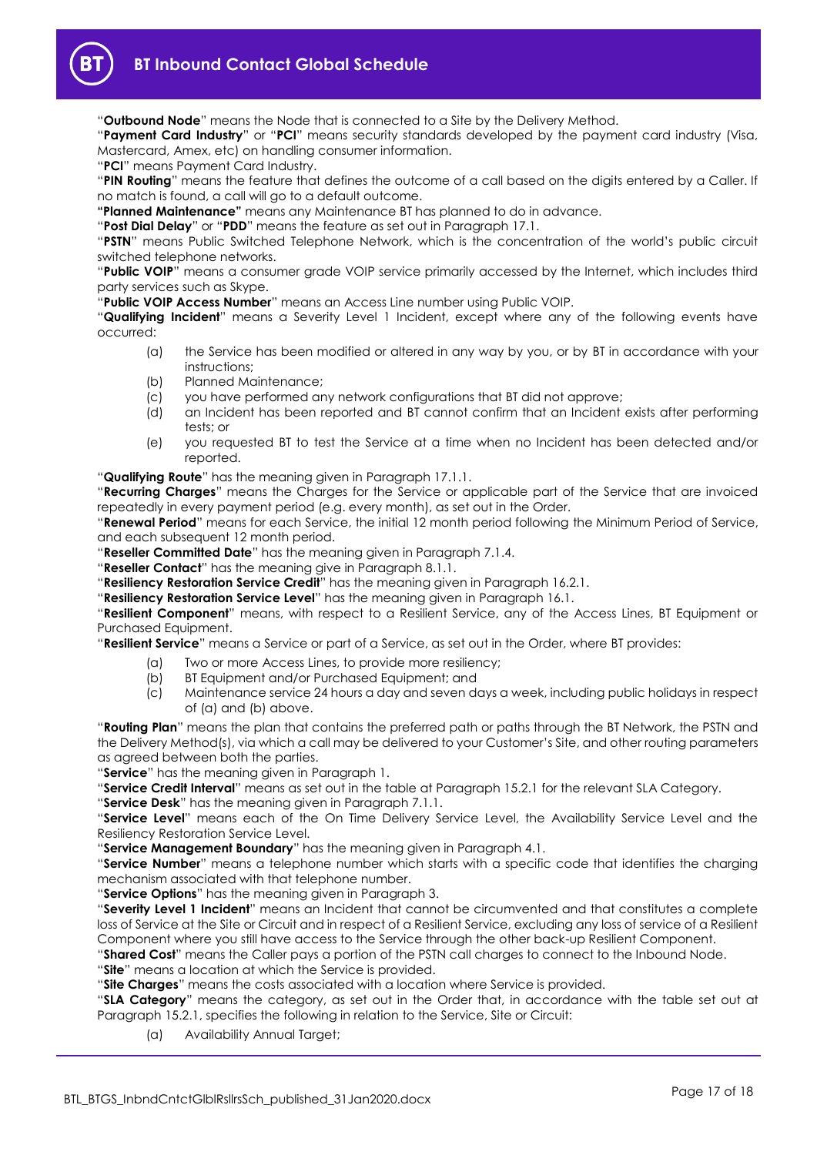

"**Outbound Node**" means the Node that is connected to a Site by the Delivery Method.

"**Payment Card Industry**" or "**PCI**" means security standards developed by the payment card industry (Visa, Mastercard, Amex, etc) on handling consumer information.

"**PCI**" means Payment Card Industry.

"**PIN Routing**" means the feature that defines the outcome of a call based on the digits entered by a Caller. If no match is found, a call will go to a default outcome.

**"Planned Maintenance"** means any Maintenance BT has planned to do in advance.

"**Post Dial Delay**" or "**PDD**" means the feature as set out in Paragraph [17.1.](#page-12-7)

"**PSTN**" means Public Switched Telephone Network, which is the concentration of the world's public circuit switched telephone networks.

"**Public VOIP**" means a consumer grade VOIP service primarily accessed by the Internet, which includes third party services such as Skype.

"**Public VOIP Access Number**" means an Access Line number using Public VOIP.

"**Qualifying Incident**" means a Severity Level 1 Incident, except where any of the following events have occurred:

- (a) the Service has been modified or altered in any way by you, or by BT in accordance with your instructions;
- (b) Planned Maintenance;
- (c) you have performed any network configurations that BT did not approve;
- (d) an Incident has been reported and BT cannot confirm that an Incident exists after performing tests; or
- (e) you requested BT to test the Service at a time when no Incident has been detected and/or reported.

"**Qualifying Route**" has the meaning given in Paragraph [17.1.1.](#page-12-8)

"**Recurring Charges**" means the Charges for the Service or applicable part of the Service that are invoiced repeatedly in every payment period (e.g. every month), as set out in the Order.

"**Renewal Period**" means for each Service, the initial 12 month period following the Minimum Period of Service, and each subsequent 12 month period.

"**Reseller Committed Date**" has the meaning given in Paragraph [7.1.4.](#page-6-6)

"**Reseller Contact**" has the meaning give in Paragraph 8.1.1.

"**Resiliency Restoration Service Credit**" has the meaning given in Paragraph [16.2.1.](#page-12-9)

"**Resiliency Restoration Service Level**" has the meaning given in Paragraph [16.1.](#page-12-10)

"**Resilient Component**" means, with respect to a Resilient Service, any of the Access Lines, BT Equipment or Purchased Equipment.

"**Resilient Service**" means a Service or part of a Service, as set out in the Order, where BT provides:

- (a) Two or more Access Lines, to provide more resiliency;
- (b) BT Equipment and/or Purchased Equipment; and
- (c) Maintenance service 24 hours a day and seven days a week, including public holidays in respect of (a) and (b) above.

"**Routing Plan**" means the plan that contains the preferred path or paths through the BT Network, the PSTN and the Delivery Method(s), via which a call may be delivered to your Customer's Site, and other routing parameters as agreed between both the parties.

"**Service**" has the meaning given in Paragraph [1.](#page-1-3)

"**Service Credit Interval**" means as set out in the table at Paragraph [15.2.1](#page-11-5) for the relevant SLA Category.

"**Service Desk**" has the meaning given in Paragraph [7.1.1.](#page-6-7)

"**Service Level**" means each of the On Time Delivery Service Level, the Availability Service Level and the Resiliency Restoration Service Level.

"**Service Management Boundary**" has the meaning given in Paragraph [4.1.](#page-3-2)

"**Service Number**" means a telephone number which starts with a specific code that identifies the charging mechanism associated with that telephone number.

"**Service Options**" has the meaning given in Paragraph [3.](#page-2-0)

"**Severity Level 1 Incident**" means an Incident that cannot be circumvented and that constitutes a complete loss of Service at the Site or Circuit and in respect of a Resilient Service, excluding any loss of service of a Resilient Component where you still have access to the Service through the other back-up Resilient Component.

"**Shared Cost**" means the Caller pays a portion of the PSTN call charges to connect to the Inbound Node.

"**Site**" means a location at which the Service is provided.

"**Site Charges**" means the costs associated with a location where Service is provided.

"**SLA Category**" means the category, as set out in the Order that, in accordance with the table set out at Paragraph [15.2.1,](#page-11-5) specifies the following in relation to the Service, Site or Circuit:

(a) Availability Annual Target;